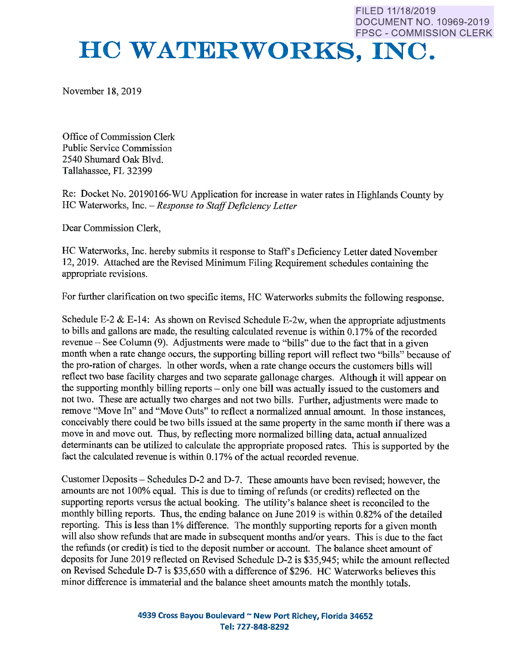FILED 11/18/2019 DOCUMENT NO. 10969-2019 FPSC - COMMISSION CLERK

# **HC WATERWORKS, INC.**

November 18, 2019

Office of Commission Clerk Public Service Commission 2540 Shumard Oak Blvd. Tallahassee, FL 32399

Re: Docket No. 20190166-WU Application for increase in water rates in Highlands County by HC Waterworks, Inc. *-Response to Staff Deficiency Letter* 

Dear Commission Clerk,

HC Waterworks, Inc. hereby submits it response to Staff's Deficiency Letter dated November 12, 2019. Attached are the Revised Minimum Filing Requirement schedules containing the appropriate revisions.

For further clarification on two specific items, HC Waterworks submits the following response.

Schedule E-2  $\&$  E-14: As shown on Revised Schedule E-2w, when the appropriate adjustments to bills and gallons are made, the resulting calculated revenue is within 0.17% of the recorded revenue - See Column (9). Adjustments were made to "bills" due to the fact that in a given month when a rate change occurs, the supporting billing report will reflect two "bills" because of the pro-ration of charges. In other words, when a rate change occurs the customers bills will reflect two base facility charges and two separate gallonage charges. Although it will appear on the supporting monthly billing reports - only one bill was actually issued to the customers and not two. These are actually two charges and not two bills. Further, adjustments were made to remove "Move In" and "Move Outs" to reflect a normalized annual amount. In those instances, conceivably there could be two bills issued at the same property in the same month if there was <sup>a</sup> move in and move out. Thus, by reflecting more normalized billing data, actual annualized determinants can be utilized to calculate the appropriate proposed rates. This is supported by the fact the calculated revenue is within 0.17% of the actual recorded revenue.

Customer Deposits - Schedules D-2 and D-7. These amounts have been revised; however, the amounts are not 100% equal. This is due to timing of refunds ( or credits) reflected on the supporting reports versus the actual booking. The utility's balance sheet is reconciled to the monthly billing reports. Thus, the ending balance on June 2019 is within 0.82% of the detailed reporting. This is less than 1% difference. The monthly supporting reports for a given month will also show refunds that are made in subsequent months and/or years. This is due to the fact the refunds (or credit) is tied to the deposit number or account. The balance sheet amount of deposits for June 2019 reflected on Revised Schedule D-2 is \$35,945; while the amount reflected on Revised Schedule D-7 is \$35,650 with a difference of \$296. HC Waterworks believes thi<sup>s</sup> minor difference is immaterial and the balance sheet amounts match the monthly totals.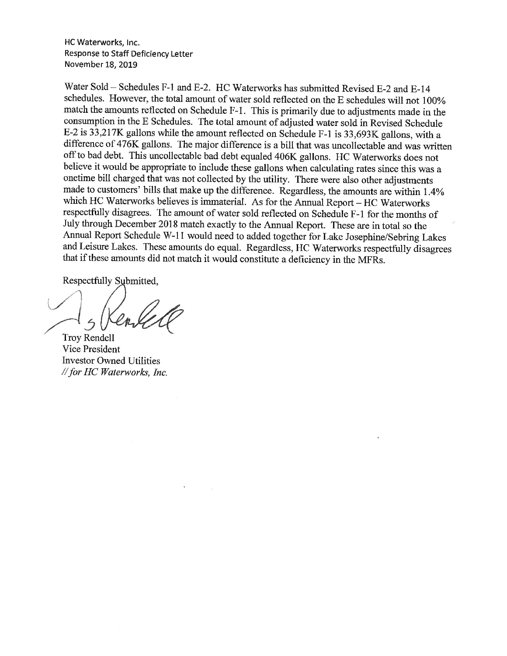HC Waterworks, Inc. Response to Staff Deficiency Letter November 18, 2019

Water Sold- Schedules F-1 and E-2. HC Waterworks has submitted Revised E-2 and E-14 schedules. However, the total amount of water sold reflected on the E schedules will not 100% match the amounts reflected on Schedule F-1. This is primarily due to adjustments made in the consumption in the E Schedules. The total amount of adjusted water sold in Revised Schedule E-2 is 33,217K gallons while the amount reflected on Schedule F-1 is 33,693K gallons, with a difference of 476K gallons. The major difference is a bill that was uncollectable and was written off to bad debt. This uncollectable bad debt equaled 406K gallons. HC Waterworks does not believe it would be appropriate to include these gallons when calculating rates since this was a onetime bill charged that was not collected by the utility. There were also other adjustments made to customers' bills that make up the difference. Regardless, the amounts are within 1.4% which HC Waterworks believes is immaterial. As for the Annual Report - HC Waterworks respectfully disagrees. The amount of water sold reflected on Schedule F-1 for the months of July through December 2018 match exactly to the Annual Report. These are in total so the Annual Report Schedule W-11 would need to added together for Lake Josephine/Sebring Lakes and Leisure Lakes. These amounts do equal. Regardless, HC Waterworks respectfully disagrees that if these amounts did not match it would constitute a deficiency in the MFRs.

 $\sqrt{1}$ 

Troy Rendell Vice President Investor Owned Utilities *I/for HC Waterworks, Inc.*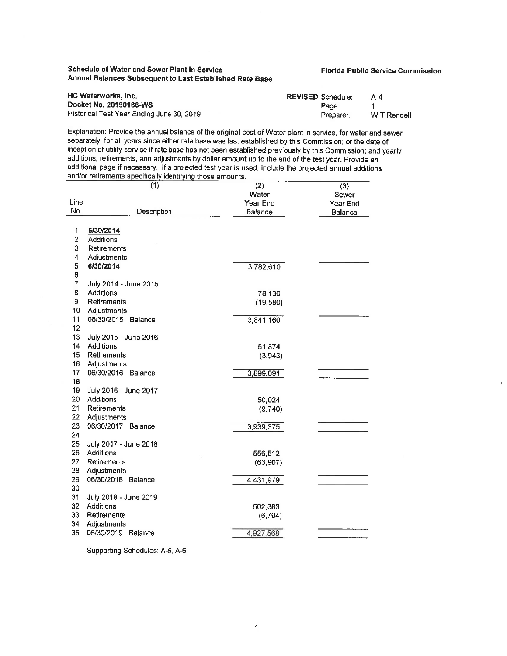### **Schedule of Water and Sewer Plant In Service Annual Balances Subsequent to Last Established Rate Base**

### **Florida Public Service Commission**

| HC Waterworks, Inc.                       | <b>REVISED Schedule:</b> | $A - 4$     |
|-------------------------------------------|--------------------------|-------------|
| Docket No. 20190166-WS                    | Page:                    |             |
| Historical Test Year Ending June 30, 2019 | Preparer:                | W T Rendell |

Explanation: Provide the annual balance of the original cost of Water plant in service, for water and sewer separately, for all years since either rate base was last established by this Commission; or the date of inception of utility service if rate base has not been established previously by this Commission; and yearly additions, retirements, and adjustments by dollar amount up to the end of the test year. Provide an additional page if necessary. If a projected test year is used, include the projected annual additions and/or retirements specifically identifying those amounts.

|                | (1)                   | (2)            | (3)      |
|----------------|-----------------------|----------------|----------|
|                |                       | Water          | Sewer    |
| Line           |                       | Year End       | Year End |
| No.            | Description           | <b>Balance</b> | Balance  |
|                |                       |                |          |
| 1              | 6/30/2014             |                |          |
| $\overline{2}$ | Additions             |                |          |
| 3              | Retirements           |                |          |
| 4              | Adjustments           |                |          |
| 5              | 6/30/2014             | 3,782,610      |          |
| 6              |                       |                |          |
| 7              | July 2014 - June 2015 |                |          |
| 8              | Additions             | 78,130         |          |
| 9              | Retirements           | (19,580)       |          |
| 10             | Adjustments           |                |          |
| 11             | 06/30/2015 Balance    | 3,841,160      |          |
| 12             |                       |                |          |
| 13             | July 2015 - June 2016 |                |          |
| 14             | Additions             | 61,874         |          |
| 15             | Retirements           | (3,943)        |          |
| 16             | Adjustments           |                |          |
| 17             | 06/30/2016 Balance    | 3,899,091      |          |
| 18             |                       |                |          |
| 19             | July 2016 - June 2017 |                |          |
| 20             | Additions             | 50,024         |          |
| 21             | Retirements           | (9,740)        |          |
| 22             | Adjustments           |                |          |
| 23             | 06/30/2017 Balance    | 3,939,375      |          |
| 24             |                       |                |          |
| 25             | July 2017 - June 2018 |                |          |
| 26             | Additions             | 556,512        |          |
| 27             | Retirements           | (63,907)       |          |
| 28             | Adjustments           |                |          |
| 29             | 06/30/2018<br>Balance | 4,431,979      |          |
| 30             |                       |                |          |
| 31             | July 2018 - June 2019 |                |          |
| 32             | Additions             | 502,383        |          |
| 33             | Retirements           | (6, 794)       |          |
| 34             | Adjustments           |                |          |
| 35             | 06/30/2019 Balance    | 4,927,568      |          |
|                |                       |                |          |

Supporting Schedules: A-5, A-6

 $\bar{\phantom{a}}$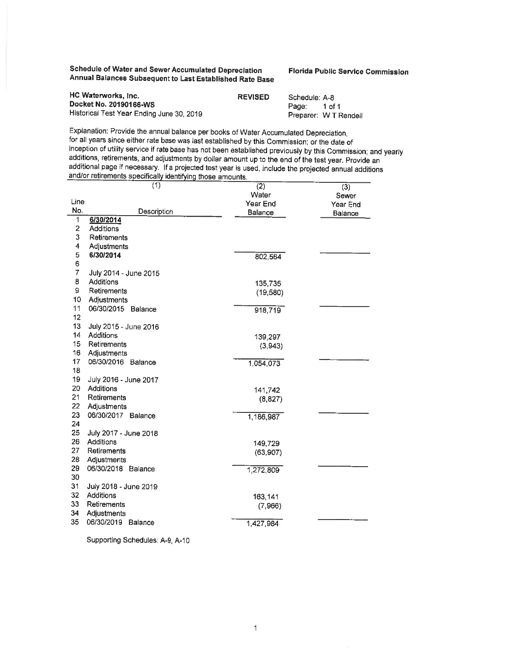**Schedule of Water and Sewer Accumulated Depreciation Annual Balances Subsequent to Last Established Rate Base**  **Florida Public Service Commission** 

| HC Waterworks, Inc.                       | <b>REVISED</b> | Schedule: A-8 |                       |
|-------------------------------------------|----------------|---------------|-----------------------|
| Docket No. 20190166-WS                    |                | Page:         | 1 of 1                |
| Historical Test Year Ending June 30, 2019 |                |               | Preparer: W T Rendell |

Explanation: Provide the annual balance per books of Water Accumulated Depreciation,<br>for all years since either rate base was last established by this Commission; or the date of<br>inception of utility service if rate base ha additions, retirements, and adjustments by dollar amount up to the end of the test year. Provide an additional page if necessary. If a projected test year is used, include the projected annual additions and/or retirements

|                | (1)                                | $\overline{(2)}$ | (3)      |
|----------------|------------------------------------|------------------|----------|
|                |                                    | Water            | Sewer    |
| Line<br>No.    |                                    | Year End         | Year End |
| $\overline{1}$ | Description<br>6/30/2014           | Balance          | Balance  |
| $\mathbf 2$    | <b>Additions</b>                   |                  |          |
| 3              | Retirements                        |                  |          |
| 4              | Adjustments                        |                  |          |
| 5              | 6/30/2014                          | 802,564          |          |
| 6              |                                    |                  |          |
| 7              | July 2014 - June 2015              |                  |          |
| 8              | Additions                          | 135,735          |          |
| 9              | Retirements                        | (19,580)         |          |
| 10             | Adjustments                        |                  |          |
| 11             | 06/30/2015 Balance                 | 918,719          |          |
| 12             |                                    |                  |          |
| 13             | July 2015 - June 2016              |                  |          |
| 14             | <b>Additions</b>                   | 139,297          |          |
| 15             | Retirements                        | (3,943)          |          |
| 16             | Adjustments                        |                  |          |
| 17             | 06/30/2016 Balance                 | 1,054,073        |          |
| 18             |                                    |                  |          |
| 19<br>20       | July 2016 - June 2017<br>Additions |                  |          |
| 21             | Retirements                        | 141,742          |          |
| 22             | Adjustments                        | (8, 827)         |          |
| 23             | 06/30/2017<br>Balance              | 1,186,987        |          |
| 24             |                                    |                  |          |
| 25             | July 2017 - June 2018              |                  |          |
| 26             | Additions                          | 149,729          |          |
| 27             | Retirements                        | (63, 907)        |          |
| 28             | Adjustments                        |                  |          |
| 29             | 06/30/2018<br>Balance              | 1,272,809        |          |
| 30             |                                    |                  |          |
| 31             | July 2018 - June 2019              |                  |          |
| 32             | Additions                          | 163,141          |          |
| 33             | Retirements                        | (7,966)          |          |
| 34             | Adjustments                        |                  |          |
| 35             | 06/30/2019<br><b>Balance</b>       | 1,427,984        |          |
|                |                                    |                  |          |

Supporting Schedules: A-9, A-10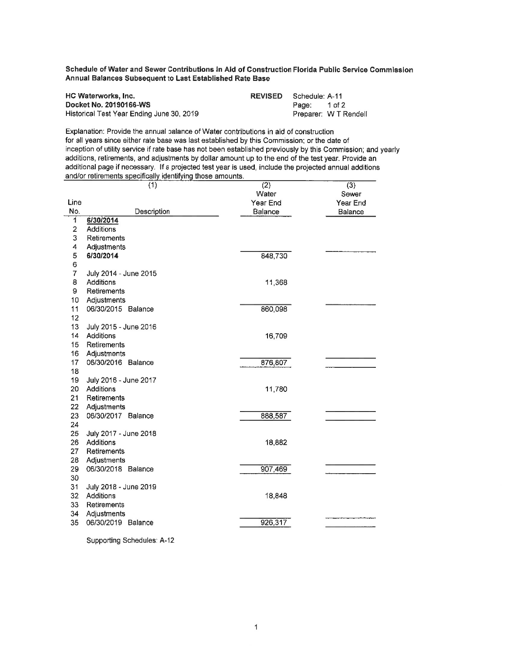**Schedule of Water and Sewer Contributions in Aid of Construction Florida Public Service Commission Annual Balances Subsequent to Last Established Rate Base** 

| HC Waterworks, Inc.                       | <b>REVISED</b> Schedule: A-11 |       |                       |
|-------------------------------------------|-------------------------------|-------|-----------------------|
| Docket No. 20190166-WS                    |                               | Page: | 1 of 2                |
| Historical Test Year Ending June 30, 2019 |                               |       | Preparer: W T Rendell |

Explanation: Provide the annual balance of Water contributions in aid of construction for all years since either rate base was last established by this Commission; or the date of inception of utility service if rate base has not been established previously by this Commission: and yearly additions, retirements, and adjustments by dollar amount up to the end of the test year. Provide an additional page if necessary. If a projected test year is used, include the projected annual additions and/or retirements specifically identifying those amounts.

|                         | (1)                   | (2)      | (3)      |
|-------------------------|-----------------------|----------|----------|
|                         |                       | Water    | Sewer    |
| Line                    |                       | Year End | Year End |
| No.                     | Description           | Balance  | Balance  |
| 1                       | 6/30/2014             |          |          |
| $\overline{\mathbf{c}}$ | <b>Additions</b>      |          |          |
| 3                       | Retirements           |          |          |
| 4                       | Adjustments           |          |          |
| 5                       | 6/30/2014             | 848,730  |          |
| 6                       |                       |          |          |
| $\overline{7}$          | July 2014 - June 2015 |          |          |
| 8                       | Additions             | 11,368   |          |
| 9                       | Retirements           |          |          |
| 10                      | Adjustments           |          |          |
| 11                      | 06/30/2015 Balance    | 860,098  |          |
| 12                      |                       |          |          |
| 13                      | July 2015 - June 2016 |          |          |
| 14                      | Additions             | 16,709   |          |
| 15                      | Retirements           |          |          |
| 16                      | Adjustments           |          |          |
| 17                      | 06/30/2016 Balance    | 876,807  |          |
| 18                      |                       |          |          |
| 19                      | July 2016 - June 2017 |          |          |
| 20                      | Additions             | 11,780   |          |
| 21                      | Retirements           |          |          |
| 22                      | Adjustments           |          |          |
| 23                      | 06/30/2017 Balance    | 888,587  |          |
| 24                      |                       |          |          |
| 25                      | July 2017 - June 2018 |          |          |
| 26                      | Additions             | 18,882   |          |
| 27                      | Retirements           |          |          |
| 28                      | Adjustments           |          |          |
| 29                      | 06/30/2018 Balance    | 907,469  |          |
| 30                      |                       |          |          |
| 31                      | July 2018 - June 2019 |          |          |
| 32                      | Additions             | 18,848   |          |
| 33                      | Retirements           |          |          |
| 34                      | Adjustments           |          |          |
| 35                      | 06/30/2019 Balance    | 926,317  |          |
|                         |                       |          |          |

Supporting Schedules: A-12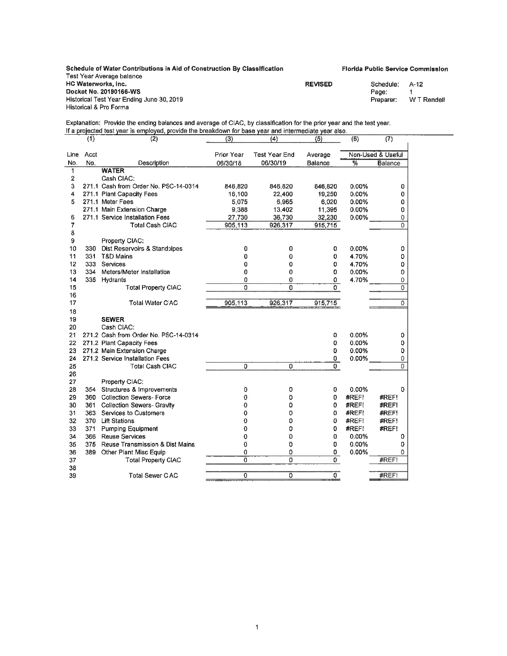| Schedule of Water Contributions in Aid of Construction By Classification |                | <b>Florida Public Service Commission</b> |             |
|--------------------------------------------------------------------------|----------------|------------------------------------------|-------------|
| Test Year Average balance                                                |                |                                          |             |
| HC Waterworks, Inc.                                                      | <b>REVISED</b> | Schedule:                                | A-12        |
| Docket No. 20190166-WS                                                   |                | Page:                                    |             |
| Historical Test Year Ending June 30, 2019                                |                | Preparer:                                | W T Rendell |
| Historical & Pro Forma                                                   |                |                                          |             |

Explanation: Provide the ending balances and average of CIAC, by classification for the prior year and the test year. If a projected test year is employed, provide the breakdown for base year and intermediate year also.

|              | (1)  | (2)                                   | (3)            | (4)            | (5)          | (6)      | (7)               |
|--------------|------|---------------------------------------|----------------|----------------|--------------|----------|-------------------|
| Line         | Acct |                                       | Prior Year     | Test Year End  | Average      |          | Non-Used & Useful |
| No.          | No.  | Description                           | 06/30/18       | 06/30/19       | Balance      | %        | <b>Balance</b>    |
| $\mathbf{1}$ |      | <b>WATER</b>                          |                |                |              |          |                   |
| 2            |      | Cash CIAC:                            |                |                |              |          |                   |
| 3            |      | 271.1 Cash from Order No. PSC-14-0314 | 846,820        | 846,820        | 846,820      | 0.00%    | 0                 |
| 4            |      | 271.1 Plant Capacity Fees             | 16,100         | 22,400         | 19,250       | 0.00%    | 0                 |
| 5            |      | 271.1 Meter Fees                      | 5,075          | 6.965          | 6,020        | $0.00\%$ | 0                 |
|              |      | 271.1 Main Extension Charge           | 9,388          | 13.402         | 11,395       | 0.00%    | 0                 |
| 6            |      | 271.1 Service Installation Fees       | 27 730         | 36.730         | 32,230       | 0.00%    | $\mathbf 0$       |
| 7            |      | <b>Total Cash CIAC</b>                | 905,113        | 926,317        | 915 715      |          | $\Omega$          |
| 8            |      |                                       |                |                |              |          |                   |
| 9            |      | Property CIAC:                        |                |                |              |          |                   |
| 10           | 330  | Dist Reservoirs & Standpipes          | 0              | 0              | 0            | 0.00%    | 0                 |
| 11           | 331  | T&D Mains                             | 0              | 0              | 0            | 4.70%    | 0                 |
| 12           | 333  | Services                              | 0              | 0              | 0            | 4.70%    | 0                 |
| 13           | 334  | Meters/Meter Installation             | 0              | 0              | 0            | 0.00%    | 0                 |
| 14           | 335  | Hydrants                              | 0              | 0              | 0            | 4.70%    | 0                 |
| 15           |      | <b>Total Property CIAC</b>            | $\overline{0}$ | $\Omega$       | 0.           |          | $\overline{0}$    |
| 16           |      |                                       |                |                |              |          |                   |
| 17           |      | Total Water CIAC                      | 905,113        | 926,317        | 915,715      |          | $\Omega$          |
| 18           |      |                                       |                |                |              |          |                   |
| 19           |      | <b>SEWER</b>                          |                |                |              |          |                   |
| 20           |      | Cash CIAC:                            |                |                |              |          |                   |
| 21           |      | 271.2 Cash from Order No. PSC-14-0314 |                |                | 0            | $0.00\%$ | 0                 |
| 22           |      | 271.2 Plant Capacity Fees             |                |                | 0            | 0.00%    | 0                 |
| 23           |      | 271.2 Main Extension Charge           |                |                | 0            | 0.00%    | 0                 |
| 24           |      | 271.2 Service Installation Fees       |                |                | 0            | 0.00%    | $\mathbf 0$       |
| 25           |      | <b>Total Cash CIAC</b>                | $\overline{0}$ | $\overline{0}$ | 0            |          | $\Omega$          |
| 26           |      |                                       |                |                |              |          |                   |
| 27           |      | Property CIAC:                        |                |                |              |          |                   |
| 28           | 354  | Structures & Improvements             | 0              | 0              | 0            | $0.00\%$ | 0                 |
| 29           | 360  | <b>Collection Sewers-Force</b>        | 0              | 0              | 0            | #REFI    | #REF!             |
| 30           | 361  | <b>Collection Sewers- Gravity</b>     | 0              | 0              | 0            | #REF!    | #REF!             |
| 31           | 363  | Services to Customers                 | 0              | 0              | 0            | #REF!    | #REF!             |
| 32           | 370  | <b>Lift Stations</b>                  | 0              | 0              | 0            | #REF!    | #REF!             |
| 33           | 371  | <b>Pumping Equipment</b>              | 0              | 0              | 0            | #REF!    | #REF!             |
| 34           | 366  | <b>Reuse Services</b>                 | 0              | 0              | 0            | $0.00\%$ | 0                 |
| 35           | 375  | Reuse Transmission & Dist Mains       | 0              | 0              | 0            | 0.00%    | 0                 |
| 36           | 389  | Other Plant Misc Equip                | 0              | 0              | 0            | 0.00%    | $\Omega$          |
| 37           |      | <b>Total Property CIAC</b>            | ñ              | 0              | $\mathbf{0}$ |          | #REF!             |
| 38           |      |                                       |                |                |              |          |                   |
| 39           |      | <b>Total Sewer CIAC</b>               | 0              | ō              | 0            |          | #REF!             |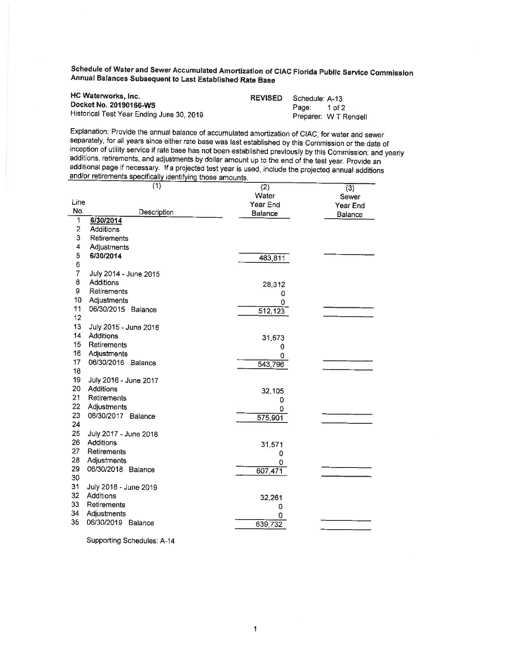Schedule of Water and Sewer Accumulated Amortization of CIAC Florida Public Service Commission Annual Balances Subsequent to Last Established Rate **Base** 

| HC Waterworks, Inc.                       | <b>REVISED</b> Schedule: A-13 |       |                       |
|-------------------------------------------|-------------------------------|-------|-----------------------|
| Docket No. 20190166-WS                    |                               | Page: | 1 of 2                |
| Historical Test Year Ending June 30, 2019 |                               |       | Preparer: W T Rendell |

Explanation: Provide the annual balance of accumulated amortization of CIAC, for water and sewer inception of utility service if rate base has not been established previously by this Commission; and yearly<br>additions, retirements, and adjustments by dollar amount up to the end of the test year. Provide an<br>additional pa

|                 | $\overline{(1)}$                  | (2)         | $\overline{(3)}$ |
|-----------------|-----------------------------------|-------------|------------------|
|                 |                                   | Water       | Sewer            |
| Line            |                                   | Year End    | Year End         |
| No.<br>1        | Description                       | Balance     | Balance          |
| $\overline{2}$  | 6/30/2014<br>Additions            |             |                  |
| 3               | Retirements                       |             |                  |
| 4               | Adjustments                       |             |                  |
| 5               | 6/30/2014                         |             |                  |
| 6               |                                   | 483,811     |                  |
| 7               | July 2014 - June 2015             |             |                  |
| 8               | Additions                         | 28,312      |                  |
| 9               | Retirements                       | 0           |                  |
| 10              | Adjustments                       | 0           |                  |
| 11              | 06/30/2015 Balance                | 512,123     |                  |
| 12 <sup>2</sup> |                                   |             |                  |
| 13              | July 2015 - June 2016             |             |                  |
| 14              | Additions                         | 31,673      |                  |
| 15              | Retirements                       | 0           |                  |
| 16              | Adjustments                       | 0           |                  |
| 17              | 06/30/2016 Balance                | 543,796     |                  |
| 18              |                                   |             |                  |
| 19              | July 2016 - June 2017             |             |                  |
| 20<br>21        | Additions                         | 32,105      |                  |
| 22              | Retirements                       | 0           |                  |
| 23              | Adjustments<br>06/30/2017 Balance | 0           |                  |
| 24              |                                   | 575,901     |                  |
| 25              | July 2017 - June 2018             |             |                  |
| 26              | Additions                         |             |                  |
| 27              | Retirements                       | 31,571<br>0 |                  |
| 28              | Adjustments                       | o           |                  |
| 29              | 06/30/2018 Balance                | 607,471     |                  |
| 30              |                                   |             |                  |
| 31              | July 2018 - June 2019             |             |                  |
| 32              | Additions                         | 32,261      |                  |
| 33              | Retirements                       | 0           |                  |
| 34              | Adjustments                       | 0           |                  |
| 35              | 06/30/2019 Balance                | 639,732     |                  |
|                 |                                   |             |                  |

Supporting Schedules: A-14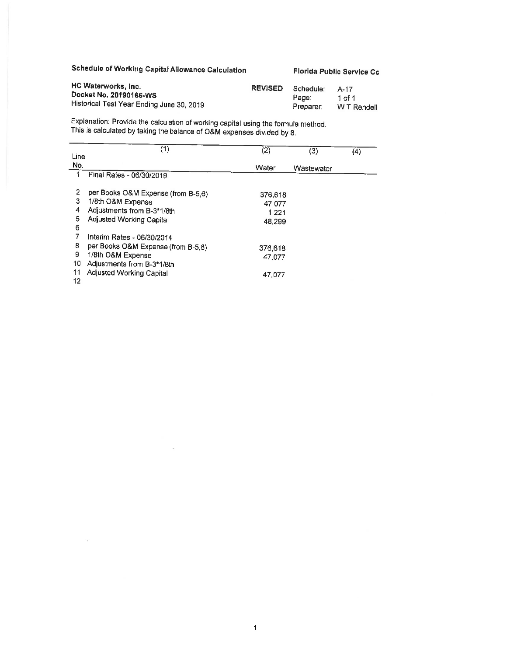# **Schedule of Working Capital Allowance Calculation**

 $\sim$   $\sim$ 

 $\mathcal{C}(\mathcal{A})$ 

**Florida Public Service Cc** 

| HC Waterworks, Inc.                       | <b>REVISED</b> | Schedule: | A-17        |
|-------------------------------------------|----------------|-----------|-------------|
| Docket No. 20190166-WS                    |                | Page:     | 1 of 1      |
| Historical Test Year Ending June 30, 2019 |                | Preparer: | W T Rendell |

Explanation: Provide the calculation of working capital using the formula method. This is calculated by taking the balance of O&M expenses divided by 8.

|      | (1)                                | (2)     | (3)        | (4) |
|------|------------------------------------|---------|------------|-----|
| Line |                                    |         |            |     |
| No.  |                                    | Water   | Wastewater |     |
| 1    | Final Rates - 06/30/2019           |         |            |     |
|      |                                    |         |            |     |
| 2    | per Books O&M Expense (from B-5,6) | 376.618 |            |     |
| 3    | 1/8th O&M Expense                  | 47 077  |            |     |
| 4    | Adjustments from B-3*1/8th         | 1 2 2 1 |            |     |
| 5    | Adjusted Working Capital           | 48.299  |            |     |
| 6    |                                    |         |            |     |
|      | Interim Rates - 06/30/2014         |         |            |     |
| 8    | per Books O&M Expense (from B-5,6) | 376,618 |            |     |
| 9    | 1/8th O&M Expense                  | 47.077  |            |     |
| 10   | Adjustments from B-3*1/8th         |         |            |     |
| 11   | Adjusted Working Capital           | 47.077  |            |     |
| 12   |                                    |         |            |     |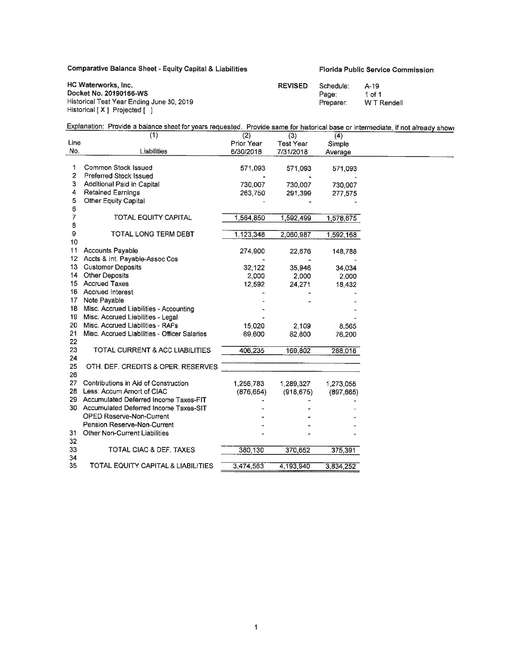# Comparative Balance Sheet - Equity Capital & Liabilities Florida Public Service Commission

| HC Waterworks, Inc.                       | <b>REVISED</b> | Schedule: | $A-19$      |
|-------------------------------------------|----------------|-----------|-------------|
| Docket No. 20190166-WS                    |                | Page:     | 1 of 1      |
| Historical Test Year Ending June 30, 2019 |                | Preparer: | W T Rendell |
| Historical [X ] Projected [ ]             |                |           |             |

| ED | Schedule: | $A-19$    |
|----|-----------|-----------|
|    | Page:     | 1 of 1    |
|    | Preparer: | W T Rende |

# Explanation: Provide a balance sheet for years requested. Provide same for historical base or intermediate, if not already showr

|                 | (1)                                          | (2)        | (3)              | (4)        |
|-----------------|----------------------------------------------|------------|------------------|------------|
| Line            |                                              | Prior Year | <b>Test Year</b> | Simple     |
| No.             | Liabilities                                  | 6/30/2018  | 7/31/2018        | Average    |
|                 |                                              |            |                  |            |
| 1               | Common Stock Issued                          | 571,093    | 571,093          | 571,093    |
| 2               | <b>Preferred Stock Issued</b>                |            |                  |            |
| 3               | Additional Paid in Capital                   | 730,007    | 730,007          | 730,007    |
| 4               | <b>Retained Earnings</b>                     | 263,750    | 291,399          | 277,575    |
| 5               | Other Equity Capital                         |            |                  |            |
| 6               |                                              |            |                  |            |
| 7               | <b>TOTAL EQUITY CAPITAL</b>                  | 1,564,850  | 1,592,499        | 1,578,675  |
| 8               |                                              |            |                  |            |
| 9               | TOTAL LONG TERM DEBT                         | 1,123,348  | 2.060.987        | 1,592,168  |
| 10              |                                              |            |                  |            |
| 11              | <b>Accounts Payable</b>                      | 274,900    | 22,676           | 148,788    |
|                 | 12 Accts & Int. Payable-Assoc Cos            |            |                  |            |
| 13              | <b>Customer Deposits</b>                     | 32,122     | 35,946           | 34,034     |
| 14              | <b>Other Deposits</b>                        | 2,000      | 2,000            | 2,000      |
|                 | 15 Accrued Taxes                             | 12,592     | 24,271           | 18,432     |
|                 | 16 Accrued Interest                          |            |                  |            |
| 17              | Note Payable                                 |            |                  |            |
| 18              | Misc. Accrued Liabilities - Accounting       |            |                  |            |
| 19              | Misc. Accrued Liabilities - Legal            |            |                  |            |
| 20              | Misc. Accrued Liabilities - RAFs             | 15,020     | 2,109            | 8,565      |
| 21              | Misc. Accrued Liabilities - Officer Salaries | 69,600     | 82,800           | 76,200     |
| 22              |                                              |            |                  |            |
| 23              | TOTAL CURRENT & ACC LIABILITIES              | 406,235    | 169,802          | 288,018    |
| 24              |                                              |            |                  |            |
| 25              | OTH. DEF. CREDITS & OPER. RESERVES           |            |                  |            |
| 26              |                                              |            |                  |            |
| 27 <sub>2</sub> | Contributions in Aid of Construction         | 1,256,783  | 1.289,327        | 1,273,055  |
| 28              | Less: Accum Amort of CIAC                    | (876, 654) | (918, 675)       | (897, 665) |
|                 | 29 Accumulated Deferred Income Taxes-FIT     |            |                  |            |
|                 | 30 Accumulated Deferred Income Taxes-SIT     |            |                  |            |
|                 | <b>OPED Reserve-Non-Current</b>              |            |                  |            |
|                 | Pension Reserve-Non-Current                  |            |                  |            |
| 31              | <b>Other Non-Current Liabilities</b>         |            |                  |            |
| 32              |                                              |            |                  |            |
| 33              | TOTAL CIAC & DEF. TAXES                      | 380,130    | 370,652          | 375,391    |
| 34              |                                              |            |                  |            |
| 35              | TOTAL EQUITY CAPITAL & LIABILITIES           | 3,474,563  | 4,193,940        | 3,834,252  |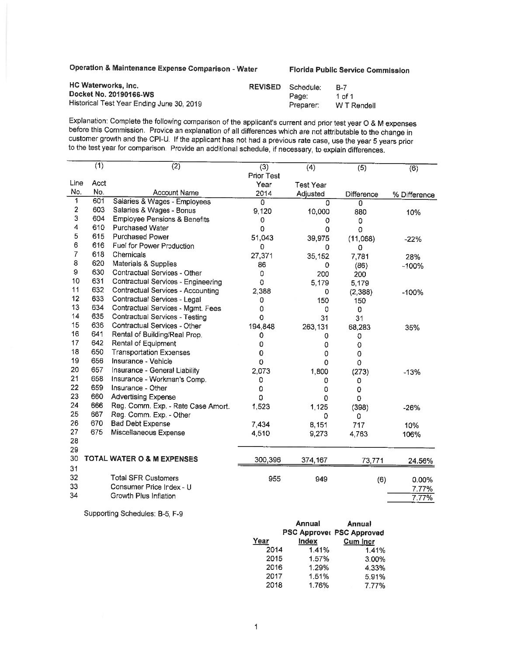**Operation** & **Maintenance Expense Comparison** - **Water Florida Public Service Commission** 

| <b>HC Waterworks, Inc.</b>                | <b>REVISED</b> | Schedule: | - B-7       |
|-------------------------------------------|----------------|-----------|-------------|
| Docket No. 20190166-WS                    |                | Page:     | 1 of 1      |
| Historical Test Year Ending June 30, 2019 |                | Preparer: | W T Rendell |

Explanation: Complete the following comparison of the applicant's current and prior test year O & M expenses before this Commission. Provide an explanation of all differences which are not attributable to the change in customer growth and the CPI-U. If the applicant has not had a previous rate case, use the year 5 years prior to the test year for comparison. Provide an additional schedule, if necessary, to explain differences.

|                      | (1)  | (2)                                     | $\overline{(3)}$  | $\overline{(4)}$ | (5)        | (6)            |
|----------------------|------|-----------------------------------------|-------------------|------------------|------------|----------------|
|                      |      |                                         | <b>Prior Test</b> |                  |            |                |
| Line                 | Acct |                                         | Year              | <b>Test Year</b> |            |                |
| No.                  | No.  | <b>Account Name</b>                     | 2014              | Adjusted         | Difference | % Difference   |
| 1                    | 601  | Salaries & Wages - Employees            | $\Omega$          | U                | 0          |                |
| 2<br>3               | 603  | Salaries & Wages - Bonus                | 9,120             | 10,000           | 880        | 10%            |
|                      | 604  | <b>Employee Pensions &amp; Benefits</b> | 0                 | 0                | 0          |                |
| 4                    | 610  | <b>Purchased Water</b>                  | 0                 | 0                | 0          |                |
| 5                    | 615  | <b>Purchased Power</b>                  | 51,043            | 39,975           | (11,068)   | $-22%$         |
| 6                    | 616  | Fuel for Power Production               | $\Omega$          | 0                | 0          |                |
| $\overline{7}$       | 618  | Chemicals                               | 27,371            | 35,152           | 7,781      | 28%            |
| 8                    | 620  | Materials & Supplies                    | 86                | 0                | (86)       | $-100%$        |
| $\hbox{\large\it g}$ | 630  | Contractual Services - Other            | 0                 | 200              | 200        |                |
| 10                   | 631  | Contractual Services - Engineering      | 0                 | 5,179            | 5,179      |                |
| 11                   | 632  | Contractual Services - Accounting       | 2,388             | 0                | (2,388)    | $-100%$        |
| 12                   | 633  | Contractual Services - Legal            | 0                 | 150              | 150        |                |
| 13                   | 634  | Contractual Services - Mgmt. Fees       | 0                 | 0                | 0          |                |
| 14                   | 635  | Contractual Services - Testing          | 0                 | 31               | 31         |                |
| 15                   | 636  | Contractual Services - Other            | 194,848           | 263,131          | 68,283     | 35%            |
| 16                   | 641  | Rental of Building/Real Prop.           | 0                 | 0                | 0          |                |
| 17                   | 642  | Rental of Equipment                     | 0                 | 0                | 0          |                |
| 18                   | 650  | <b>Transportation Expenses</b>          | 0                 | 0                | 0          |                |
| 19                   | 656  | Insurance - Vehicle                     | $\Omega$          | $\mathbf 0$      | 0          |                |
| 20                   | 657  | Insurance - General Liability           | 2,073             | 1,800            | (273)      | $-13%$         |
| 21                   | 658  | Insurance - Workman's Comp.             | 0                 | 0                | 0          |                |
| 22                   | 659  | Insurance - Other                       | 0                 | 0                | 0          |                |
| 23                   | 660  | <b>Advertising Expense</b>              | 0                 | 0                | 0          |                |
| 24                   | 666  | Reg. Comm. Exp. - Rate Case Amort.      | 1,523             | 1,125            | (398)      | $-26%$         |
| 25                   | 667  | Reg. Comm. Exp. - Other                 |                   | 0                | 0          |                |
| 26                   | 670  | <b>Bad Debt Expense</b>                 | 7,434             | 8,151            | 717        | 10%            |
| 27                   | 675  | Miscellaneous Expense                   | 4,510             | 9,273            | 4,763      | 106%           |
| 28                   |      |                                         |                   |                  |            |                |
| 29                   |      |                                         |                   |                  |            |                |
| 30                   |      | TOTAL WATER O & M EXPENSES              | 300,396           | 374,167          | 73,771     | 24.56%         |
| 31                   |      |                                         |                   |                  |            |                |
| 32                   |      | <b>Total SFR Customers</b>              | 955               | 949              | (6)        | 0.00%          |
| 33                   |      | Consumer Price Index - U                |                   |                  |            |                |
| 34                   |      | Growth Plus Inflation                   |                   |                  |            | 7.77%<br>7.77% |
|                      |      |                                         |                   |                  |            |                |

Supporting Schedules: B-5, F-9

|      | Annual | <b>Annual</b>                    |
|------|--------|----------------------------------|
|      |        | <b>PSC Approver PSC Approved</b> |
| Year | Index  | <b>Cum Incr</b>                  |
| 2014 | 1.41%  | 1.41%                            |
| 2015 | 1.57%  | 3.00%                            |
| 2016 | 1.29%  | 4.33%                            |
| 2017 | 1.51%  | 5.91%                            |
| 2018 | 1.76%  | 7.77%                            |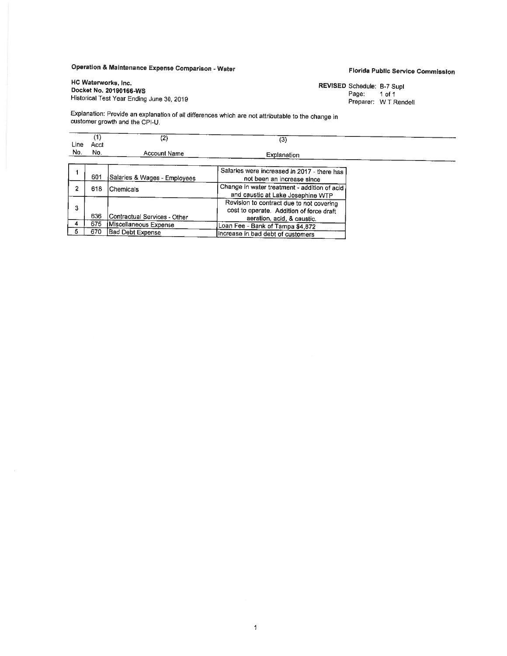# **Operation** & **Maintenance Expense Comparison** - **Water**

# HC **Waterworks,** Inc. Historical Test Year Ending June 30, 2019

**Florida Public Service Commission** 

**REVISED** Schedule: B-7 Supl Page: 1 of 1 Preparer: W T Rendell

Explanation: Provide an explanation of all differences which are not attributable to the change in customer growth and the CPI-U.

| Line | Acct | (2)                          | (3)                                                                                                                |  |
|------|------|------------------------------|--------------------------------------------------------------------------------------------------------------------|--|
| No.  | No.  | <b>Account Name</b>          | Explanation                                                                                                        |  |
|      | 601  | Salaries & Wages - Employees | Salaries were increased in 2017 - there has<br>not been an increase since                                          |  |
|      | 618  | lChemicals                   | Change in water treatment - addition of acid<br>and caustic at Lake Josephine WTP                                  |  |
| 3    | 636  | Contractual Services - Other | Revision to contract due to not covering<br>cost to operate. Addition of force draft<br>aeration, acid, & caustic. |  |
|      | 675  | Miscellaneous Expense        | Loan Fee - Bank of Tampa \$4 872                                                                                   |  |
|      | 670  | <b>Bad Debt Expense</b>      | increase in bad debt of customers                                                                                  |  |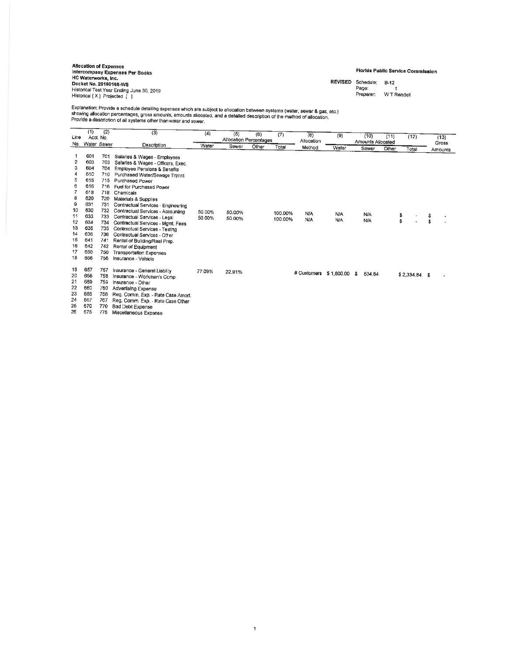Anocatlon of EXl)fflSH lntercompany Expense• Per Books HC Waterwork1, Inc. Docket No. **REVISED** S<:hedule: B-12 20180166·WS Historical Test Year Ending June 30, 2019<br>Historical [ X ] Projected [ ]

### **Florida** Public **Service Commission**

Page: Preparer. WT Rendell

Explanation: Provide a schedule detailing expenses which are subject to allocation between systems (water, sewer & gas, etc.)<br>showing allocation percentages, gross amounts, amounts allocated, and a detailed description of

|                            | (1)                             | (2)                                    | (3)                                                                                                                                                              | (4)    | (5)                    | (6)   | (7)     | $\overline{\langle 8 \rangle}$ |               |                   |       |                |         |
|----------------------------|---------------------------------|----------------------------------------|------------------------------------------------------------------------------------------------------------------------------------------------------------------|--------|------------------------|-------|---------|--------------------------------|---------------|-------------------|-------|----------------|---------|
| Line                       |                                 | Acct. No.                              |                                                                                                                                                                  |        | Allocation Percentages |       |         | Allocation                     | (9)           | (10)              | (11)  | (12)           | (13)    |
| No.                        | Water Sewer                     |                                        | Description                                                                                                                                                      | Water  | Sewer                  | Other | Total   |                                |               | Amounts Allocated |       |                | Gross   |
|                            |                                 |                                        |                                                                                                                                                                  |        |                        |       |         | Method                         | Water         | Sewer             | Other | Total          | Amounts |
|                            | 601                             | 701                                    | Salaries & Wages - Employees                                                                                                                                     |        |                        |       |         |                                |               |                   |       |                |         |
| 2                          | 603                             | 703                                    | Salaries & Wages - Officers, Exec.                                                                                                                               |        |                        |       |         |                                |               |                   |       |                |         |
| 3                          | 604                             | 704                                    | Employee Pensions & Benefits                                                                                                                                     |        |                        |       |         |                                |               |                   |       |                |         |
| 4                          | 610                             | 710                                    | Purchased Water/Sewage Trtmnt                                                                                                                                    |        |                        |       |         |                                |               |                   |       |                |         |
| 5                          | 615                             | 715                                    | Purchased Power                                                                                                                                                  |        |                        |       |         |                                |               |                   |       |                |         |
| 6                          | 616                             | 716                                    | Fuel for Purchased Power                                                                                                                                         |        |                        |       |         |                                |               |                   |       |                |         |
|                            | 618                             | 718                                    | Chemicals                                                                                                                                                        |        |                        |       |         |                                |               |                   |       |                |         |
| 8                          | 620                             | 720                                    | Materials & Supplies                                                                                                                                             |        |                        |       |         |                                |               |                   |       |                |         |
| 9                          | 631                             | 731                                    | Contractual Services - Engineering                                                                                                                               |        |                        |       |         |                                |               |                   |       |                |         |
| 10                         | 630                             | 732                                    | Contractual Services - Accounting                                                                                                                                | 50.00% | 50.00%                 |       | 100.00% | N/A                            |               |                   |       |                |         |
| 11                         | 633                             | 733                                    | Contractual Services - Legal                                                                                                                                     | 50.00% | 50.00%                 |       | 100.00% | N/A                            | <b>N/A</b>    | <b>N/A</b>        |       | \$             | \$      |
| 12                         | 634                             | 734                                    | Contractual Services - Mgmt, Fees                                                                                                                                |        |                        |       |         |                                | N/A           | <b>N/A</b>        |       | Ŝ              | \$      |
| 13                         | 635                             | 735                                    | Contractual Services - Testing                                                                                                                                   |        |                        |       |         |                                |               |                   |       |                |         |
| 14                         | 636                             | 736                                    | Contractual Services - Other                                                                                                                                     |        |                        |       |         |                                |               |                   |       |                |         |
| 15                         | 641                             | 741                                    | Rental of Building/Real Prop.                                                                                                                                    |        |                        |       |         |                                |               |                   |       |                |         |
| 16                         | 642                             | 742                                    | Rental of Equipment                                                                                                                                              |        |                        |       |         |                                |               |                   |       |                |         |
| 17                         | 650                             | 750                                    | <b>Transportation Expenses</b>                                                                                                                                   |        |                        |       |         |                                |               |                   |       |                |         |
| 18                         | 656                             | 756                                    | Insurance - Vehicle                                                                                                                                              |        |                        |       |         |                                |               |                   |       |                |         |
| 19                         | 657                             | 757                                    | Insurance - General Liability                                                                                                                                    |        |                        |       |         |                                |               |                   |       |                |         |
| 20                         | 658                             | 758                                    | Insurance - Workman's Comp.                                                                                                                                      | 77.09% | 22.91%                 |       |         | # Customers                    | \$1,800.00 \$ | 534.84            |       | $$2,334.84$ \$ |         |
| 21                         | 659                             |                                        |                                                                                                                                                                  |        |                        |       |         |                                |               |                   |       |                |         |
|                            |                                 |                                        |                                                                                                                                                                  |        |                        |       |         |                                |               |                   |       |                |         |
|                            |                                 |                                        |                                                                                                                                                                  |        |                        |       |         |                                |               |                   |       |                |         |
|                            |                                 |                                        |                                                                                                                                                                  |        |                        |       |         |                                |               |                   |       |                |         |
|                            |                                 |                                        |                                                                                                                                                                  |        |                        |       |         |                                |               |                   |       |                |         |
|                            |                                 |                                        |                                                                                                                                                                  |        |                        |       |         |                                |               |                   |       |                |         |
| 22<br>23<br>24<br>25<br>26 | 660<br>666<br>667<br>670<br>675 | 759<br>760<br>766<br>767<br>770<br>775 | Insurance - Other<br>Advertising Expense<br>Reg. Comm. Exp. - Rate Case Amort.<br>Reg. Comm. Exp. - Rate Case Other<br>Bad Debt Expense<br>Miscellaneous Expense |        |                        |       |         |                                |               |                   |       |                |         |

 $\ddagger$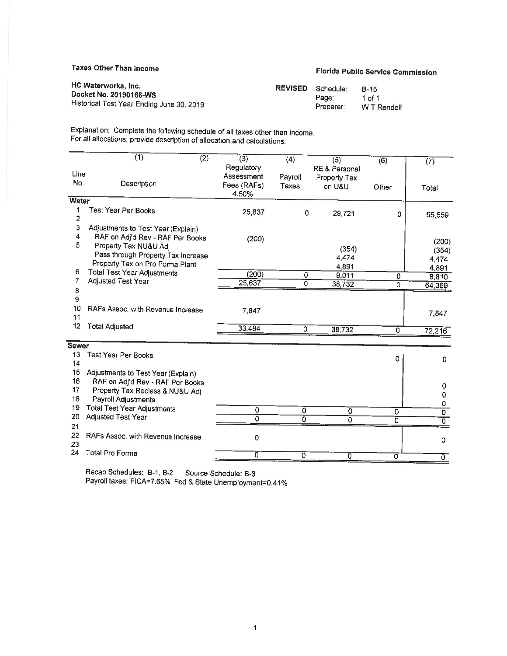# Taxes Other Than Income **Florida Public Service Commission**

| HC Waterworks, Inc.                       | <b>REVISED</b> Schedule: | B-15        |
|-------------------------------------------|--------------------------|-------------|
| Docket No. 20190166-WS                    | Page:                    | 1 of 1      |
| Historical Test Year Ending June 30, 2019 | Preparer:                | W T Rendell |

Explanation: Complete the following schedule of all taxes other than income. For all allocations, provide description of allocation and calculations.

|              | (1)<br>$\overline{(2)}$                                  | $\overline{(3)}$         | $\overline{(4)}$ | (5)                    | (6)            | (7)      |
|--------------|----------------------------------------------------------|--------------------------|------------------|------------------------|----------------|----------|
| Line         |                                                          | Regulatory<br>Assessment |                  | RE & Personal          |                |          |
| No.          | Description                                              | Fees (RAFs)<br>4.50%     | Payroll<br>Taxes | Property Tax<br>on U&U | Other          | Total    |
| <b>Water</b> |                                                          |                          |                  |                        |                |          |
| 1<br>2       | Test Year Per Books                                      | 25 837                   | 0                | 29,721                 | 0              | 55,559   |
| 3            | Adjustments to Test Year (Explain)                       |                          |                  |                        |                |          |
| 4            | RAF on Adj'd Rev - RAF Per Books                         | (200)                    |                  |                        |                | (200)    |
| 5            | Property Tax NU&U Adj                                    |                          |                  | (354)                  |                | (354)    |
|              | Pass through Property Tax Increase                       |                          |                  | 4.474                  |                | 4,474    |
|              | Property Tax on Pro Forma Plant                          |                          |                  | 4,891                  |                | 4,891    |
| 6<br>7       | <b>Total Test Year Adjustments</b>                       | (200)                    | 0                | 9,011                  | 0              | 8,810    |
|              | Adjusted Test Year                                       | 25,637                   | $\overline{O}$   | 38,732                 | 0              | 64,369   |
| 8<br>9       |                                                          |                          |                  |                        |                |          |
| 10           | RAFs Assoc. with Revenue Increase                        |                          |                  |                        |                |          |
| 11           |                                                          | 7,847                    |                  |                        |                | 7,847    |
| 12           | <b>Total Adjusted</b>                                    | 33,484                   | 0                | 38,732                 | $\Omega$       | 72,216   |
|              |                                                          |                          |                  |                        |                |          |
| <b>Sewer</b> |                                                          |                          |                  |                        |                |          |
| 13           | <b>Test Year Per Books</b>                               |                          |                  |                        | 0              | 0        |
| 14           |                                                          |                          |                  |                        |                |          |
| 15           | Adjustments to Test Year (Explain)                       |                          |                  |                        |                |          |
| 16<br>17     | RAF on Adj'd Rev - RAF Per Books                         |                          |                  |                        |                | 0        |
| 18           | Property Tax Reclass & NU&U Adj                          |                          |                  |                        |                | 0        |
| 19           | Payroll Adjustments                                      |                          |                  |                        |                | 0        |
| 20           | <b>Total Test Year Adjustments</b><br>Adjusted Test Year | 0                        | 0                | $\mathbf 0$            | 0              | 0        |
| 21           |                                                          | ō                        | ö                | $\overline{0}$         | 0              | $\Omega$ |
| 22           | RAFs Assoc. with Revenue Increase                        | 0                        |                  |                        |                |          |
| 23           |                                                          |                          |                  |                        |                | 0        |
| 24           | <b>Total Pro Forma</b>                                   | σ                        | $\overline{0}$   | $\sigma$               | $\overline{0}$ | ᠊ᢐ       |

Recap Schedules: B-1, B-2 Source Schedule: B-3 Payroll taxes: FICA=7.65%, Fed & State Unemployment=0.41%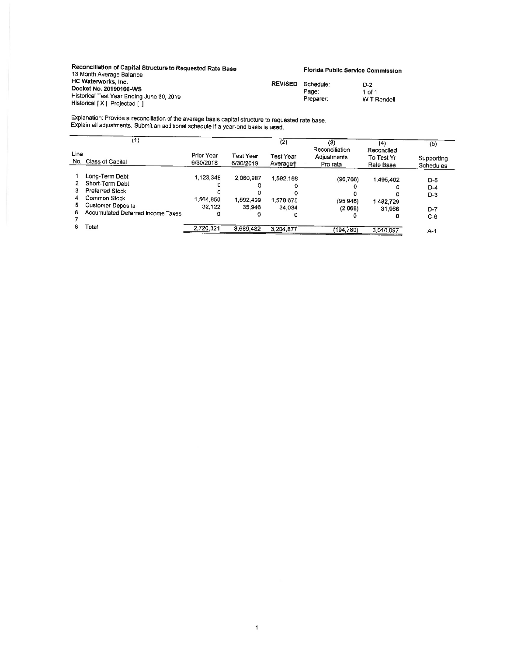| Reconciliation of Capital Structure to Requested Rate Base<br>13 Month Average Balance                                     |                | Florida Public Service Commission |                              |
|----------------------------------------------------------------------------------------------------------------------------|----------------|-----------------------------------|------------------------------|
| HC Waterworks, Inc.<br>Docket No. 20190166-WS<br>Historical Test Year Ending June 30, 2019<br>Historical [X] Projected [ ] | <b>REVISED</b> | Schedule:<br>Page:<br>Preparer:   | D-2<br>1 of 1<br>W T Rendell |

Explanation: Provide a reconciliation of the average basis capital structure to requested rate base. Explain all adjustments. Submit an additional schedule if a year-end basis Is used.

|             | (1)                               |                         |                        | (2)                   | (3)<br>Reconciliation   | (4)<br>Reconciled       | (5)                     |
|-------------|-----------------------------------|-------------------------|------------------------|-----------------------|-------------------------|-------------------------|-------------------------|
| Line<br>No. | Class of Capital                  | Prior Year<br>6/30/2018 | Test Year<br>6/30/2019 | Test Year<br>Averaget | Adjustments<br>Pro rata | To Test Yr<br>Rate Base | Supporting<br>Schedules |
|             | Long-Term Debt                    | 1,123,348               | 2,060,987              | 1,592,168             | (96, 766)               | 1.495.402               |                         |
|             | Short-Term Debt                   |                         |                        |                       |                         |                         | $D-5$                   |
|             | <b>Preferred Stock</b>            |                         |                        | o                     |                         |                         | $D-4$                   |
| 4           | Common Stock                      | 1.564,850               | 1,592.499              | 1,578,675             | (95, 946)               | 1.482.729               | $D-3$                   |
| 5           | <b>Customer Deposits</b>          | 32.122                  | 35.946                 | 34.034                | (2,068)                 | 31.966                  | $D-7$                   |
| 6           | Accumulated Deferred Income Taxes |                         |                        | o                     |                         | o                       | $C-6$                   |
| 8           | Total                             | 2,720,321               | 3,689.432              | 3,204,877             | (194, 780)              | 3,010,097               | $A-1$                   |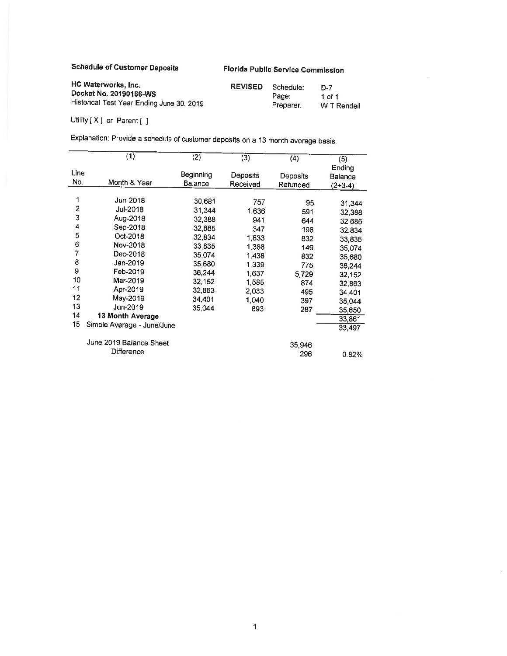Schedule of Customer Deposits **Florida** Public **Service** Commission

| <b>HC Waterworks, Inc.</b>                | <b>REVISED</b> | Schedule: | D-7         |
|-------------------------------------------|----------------|-----------|-------------|
| Docket No. 20190166-WS                    |                | Page:     | 1 of 1      |
| Historical Test Year Ending June 30, 2019 |                | Preparer: | W T Rendell |

Utility [ X ] or Parent [ ]

Explanation: Provide a schedule of customer deposits on a 13 month average basis.

|      | (1)                        | $\overline{(2)}$ | $\overline{(3)}$ | (4)      | (5)       |
|------|----------------------------|------------------|------------------|----------|-----------|
|      |                            |                  |                  |          | Ending    |
| Line |                            | Beginning        | Deposits         | Deposits | Balance   |
| No.  | Month & Year               | <b>Balance</b>   | Received         | Refunded | $(2+3-4)$ |
|      |                            |                  |                  |          |           |
| 1    | Jun-2018                   | 30,681           | 757              | 95       | 31,344    |
| 2    | Jul-2018                   | 31,344           | 1,636            | 591      | 32.388    |
| 3    | Aug-2018                   | 32,388           | 941              | 644      | 32,685    |
| 4    | Sep-2018                   | 32,685           | 347              | 198      |           |
| 5    | Oct-2018                   | 32,834           |                  |          | 32.834    |
| 6    | Nov-2018                   |                  | 1,833            | 832      | 33,835    |
| 7    |                            | 33,835           | 1,388            | 149      | 35.074    |
|      | Dec-2018                   | 35,074           | 1,438            | 832      | 35,680    |
| 8    | Jan-2019                   | 35,680           | 1,339            | 775      | 36,244    |
| 9    | Feb-2019                   | 36,244           | 1,637            | 5,729    | 32.152    |
| 10   | Mar-2019                   | 32.152           | 1,585            | 874      | 32,863    |
| 11   | Apr-2019                   | 32,863           | 2,033            | 495      | 34,401    |
| 12   | May-2019                   | 34,401           | 1.040            | 397      |           |
| 13   | Jun-2019                   | 35,044           |                  |          | 35,044    |
| 14   | 13 Month Average           |                  | 893              | 287      | 35,650    |
|      |                            |                  |                  |          | 33,861    |
| 15   | Simple Average - June/June |                  |                  |          | 33,497    |
|      | June 2019 Balance Sheet    |                  |                  | 35,946   |           |
|      | Difference                 |                  |                  |          |           |
|      |                            |                  |                  | 296      | 0.82%     |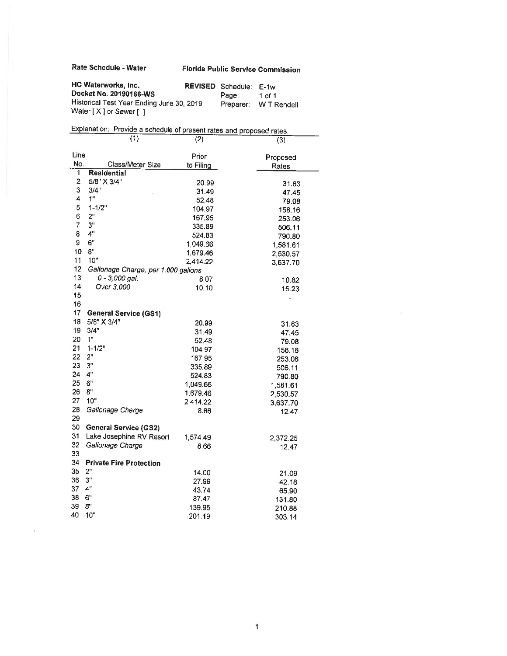**Rate Schedule** - **Water** 

 $\sim 0$ 

# **Florida Public Service Commission**

| HC Waterworks, Inc.                                                | <b>REVISED</b> Schedule: E-1w |                       |
|--------------------------------------------------------------------|-------------------------------|-----------------------|
| Docket No. 20190166-WS                                             | Page:                         | 1 of 1                |
| Historical Test Year Ending June 30, 2019<br>Water [X] or Sewer [] |                               | Preparer: W T Rendell |
|                                                                    |                               |                       |

|      | Explanation: Provide a schedule of present rates and proposed rates. |           |                   |
|------|----------------------------------------------------------------------|-----------|-------------------|
|      | (1)                                                                  | (2)       | (3)               |
| Line |                                                                      | Prior     |                   |
| No.  | Class/Meter Size                                                     | to Filing | Proposed<br>Rates |
| 1    | Residential                                                          |           |                   |
| 2    | 5/8" X 3/4"                                                          | 20.99     | 31.63             |
| 3    | 3/4"                                                                 | 31.49     | 47.45             |
| 4    | 1 <sup>11</sup>                                                      | 52.48     | 79.08             |
| 5    | $1 - 1/2"$                                                           | 104.97    | 158.16            |
| 6    | 2"                                                                   | 167.95    | 253.06            |
| 7    | 3"                                                                   | 335.89    | 506.11            |
| 8    | 4"                                                                   | 524.83    | 790.80            |
| 9    | 6"                                                                   | 1,049.66  | 1,581.61          |
| 10   | 8"                                                                   | 1,679.46  | 2,530.57          |
| 11   | 10"                                                                  | 2,414.22  | 3,637.70          |
| 12   | Gallonage Charge, per 1,000 gallons                                  |           |                   |
| 13   | $0 - 3,000$ gal.                                                     | 8.07      | 10.82             |
| 14   | Over 3,000                                                           | 10.10     | 16.23             |
| 15   |                                                                      |           | $\overline{a}$    |
| 16   |                                                                      |           |                   |
| 17   | <b>General Service (GS1)</b>                                         |           |                   |
| 18   | 5/8" X 3/4"                                                          | 20.99     | 31.63             |
| 19   | 3/4"                                                                 | 31.49     | 47.45             |
| 20   | 1 <sup>n</sup>                                                       | 52.48     | 79.08             |
| 21   | $1 - 1/2"$                                                           | 104.97    | 158.16            |
| 22   | 2"                                                                   | 167.95    | 253.06            |
| 23   | 3"                                                                   | 335.89    | 506.11            |
| 24   | 4"                                                                   | 524.83    | 790.80            |
| 25   | 6"                                                                   | 1 049.66  | 1,581.61          |
| 26   | 8"                                                                   | 1,679.46  | 2,530.57          |
| 27   | 10"                                                                  | 2,414.22  | 3,637.70          |
| 28   | Gallonage Charge                                                     | 8.66      | 12.47             |
| 29   |                                                                      |           |                   |
| 30   | <b>General Service (GS2)</b>                                         |           |                   |
| 31   | Lake Josephine RV Resort                                             | 1 574.49  | 2,372.25          |
| 32   | Gallonage Charge                                                     | 8.66      | 12.47             |
| 33   |                                                                      |           |                   |
| 34   | <b>Private Fire Protection</b>                                       |           |                   |
| 35   | 2"                                                                   | 14.00     | 21.09             |
| 36   | 3"                                                                   | 27.99     | 42.18             |
| 37   | 4"                                                                   | 43.74     | 65.90             |
| 38   | 6"                                                                   | 87.47     | 131.80            |
| 39   | 8"                                                                   | 139.95    | 210.88            |
| 40   | 10"                                                                  | 201.19    | 303.14            |

 $\sim 10^{-11}$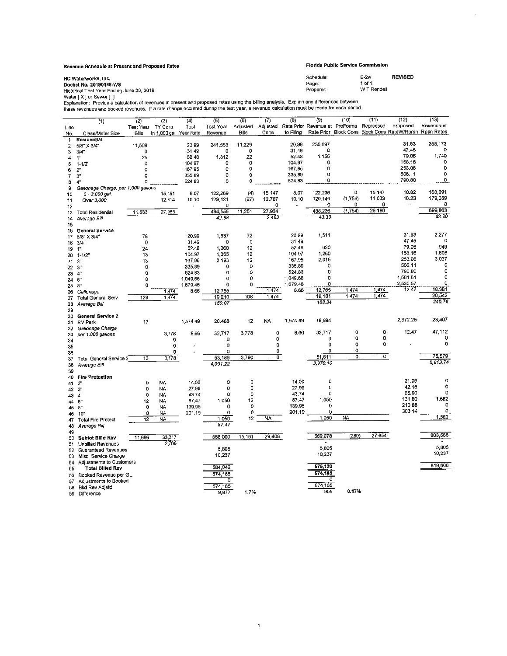#### **Revenue Schedule al Present and Proposed Rates Florida** Public **Service Commission**

| HC Waterworks, Inc.<br>Docket No. 20190166-WS                                                                                                                                                                                                                                       | Schedule:<br>Page: | $E-2w$<br>1 of 1 | <b>REVISED</b> |
|-------------------------------------------------------------------------------------------------------------------------------------------------------------------------------------------------------------------------------------------------------------------------------------|--------------------|------------------|----------------|
| Historical Test Year Ending June 30, 2019<br>Water [X I or Sewer [ ]                                                                                                                                                                                                                | Preparer:          | W T Rendell      |                |
| Explanation: Provide a calculation of revenues at present and proposed rates using the billing analysis. Explain any differences between<br>these revenues and booked revenues. If a rate change occurred during the test year, a revenue calculation must be made for each period. |                    |                  |                |

| Rate Prior Revenue at ProForma<br>Repressed<br>Proposed<br>Revenue at<br>Adjusted<br>Test<br>Test Year<br>Adjusted<br>Test Year TY Cons<br>Line<br>Rate Prior Block Cons Block Cons RateW/Rprsn Rpsn Rates<br>to Filing<br>in 1,000 gal. Year Rate<br>Bills<br>Cons<br>Revenue<br>Bills<br>No.<br>Class/Meter Size<br>Residential<br>1<br>31.63<br>355,173<br>235,697<br>11,229<br>20.99<br>241,553<br>11,508<br>20.99<br>2<br>5/8" X 3/4"<br>47.45<br>o<br>o<br>O<br>31.49<br>31.49<br>0<br>3/4"<br>0<br>3<br>1,740<br>79.08<br>1,155<br>22<br>52.48<br>52.48<br>1.312<br>25<br>4<br>1"<br>158.16<br>O<br>104.97<br>$\circ$<br>$\circ$<br>104.97<br>o<br>0<br>5<br>$1 - 1/2$<br>0<br>253.06<br>o<br>167.95<br>O<br>o<br>167.95<br>6<br>2 <sup>n</sup><br>0<br>0<br>506.11<br>0<br>335.89<br>٥<br>0<br>335.89<br>3 <sup>u</sup><br>7<br>٥<br>790.80<br>0<br>0<br>524.83<br>٥<br>0<br>524.83<br>4 <sup>n</sup><br>8<br>9<br>Gallonage Charge, per 1,000 gallons<br>163,891<br>10.82<br>8.07<br>122,236<br>o<br>15,147<br>(4)<br>15,147<br>8.07<br>122,269<br>15,151<br>10<br>$0 - 3,000$ gal.<br>11,033<br>16.23<br>179,059<br>(1,754)<br>12.787<br>10.10<br>129,149<br>12.814<br>129.421<br>(27)<br>10.10<br>Over 3,000<br>11<br>o<br>n<br>n<br>0<br>0<br>0<br>12<br>699,863<br>(1, 754)<br>26,180<br>11,251<br>27,934<br>488,236<br>494 555<br>27,965<br>11,533<br><b>Total Residential</b><br>13<br>62.20<br>43.39<br>42.88<br>2.483<br>Average Bill<br>14<br>15<br>General Service<br>16<br>2,277<br>31.63<br>20.99<br>1,511<br>72<br>1,637<br>78<br>20.99<br>5/8" X 3/4"<br>17<br>47.45<br>$^{\circ}$<br>0<br>31.49<br>O<br>$\mathbf 0$<br>31.49<br>3/4"<br>18<br>79.08<br>949<br>630<br>52.48<br>1,260<br>12<br>24<br>52.48<br>19<br>1"<br>1,898<br>158.16<br>1,260<br>1,365<br>12<br>104.97<br>104.97<br>13<br>20<br>$1 - 1/2"$<br>3,037<br>253.06<br>167.95<br>2,015<br>12<br>167.95<br>2,183<br>13<br>2 <sup>n</sup><br>21<br>0<br>506.11<br>0<br>0<br>335.89<br>0<br>o<br>335.89<br>$3^{\circ}$<br>22<br>0<br>790.80<br>٥<br>524,83<br>o<br>$\circ$<br>0<br>524.83<br>4"<br>23<br>0<br>1,581.61<br>o<br>1.049.66<br>٥<br>0<br>O<br>1,049.66<br>6"<br>24<br>2,530.57<br>0<br>1,679.46<br>O<br>o<br>1,679.46<br>0<br>0<br>8"<br>25<br>18,381<br>12,765<br>1.474<br>1,474<br>12.47<br>1.474<br>8.66<br>8.66<br>12,765<br>1.474<br>Gallonage<br>26<br>26,542<br>1,474<br>1,474<br>108<br>1,474<br>18,181<br>19.210<br>128<br>1.474<br>27<br><b>Total General Serv</b><br>245.76<br>168.34<br>150.07<br>Average Bill<br>26<br>29<br>General Service 2<br>30<br>2,372.25<br>28,467<br><b>NA</b><br>1,574.49<br>18,894<br>12<br>1,574.49<br>20,468<br>13<br>31<br><b>RV Park</b><br>Gallonage Charge<br>32<br>$\mathbf 0$<br>47,112<br>12.47<br>0<br>O<br>8.66<br>32,717<br>3,778<br>3,778<br>8.66<br>32,717<br>33<br>per 1,000 gallons<br>0<br>o<br>0<br>0<br>0<br>0<br>o<br>34<br>0<br>$\mathbf 0$<br>O<br>0<br>o<br>0<br>0<br>35<br>o<br>0<br>a<br>0<br>o<br>36<br>75,579<br>$\overline{c}$<br>51,611<br>٥<br>3,790<br>o<br>53,186<br>3,778<br>13<br>Total General Service 2<br>37<br>5,813.74<br>3,970.10<br>4,091.22<br>Average Bill<br>38<br>39<br><b>Fire Protection</b><br>40<br>o<br>21.09<br>14.00<br>0<br>0<br>14.00<br>0<br>NA<br>0<br>2"<br>41<br>٥<br>42.18<br>0<br>27.99<br>0<br>o<br>0<br>27.99<br>$3^{\circ}$<br>NA<br>42<br>65.90<br>o<br>43.74<br>0<br>$\mathbf 0$<br>o<br>O<br>43.74<br><b>NA</b><br>$4^{\circ}$<br>43<br>1,582<br>131.80<br>1,050<br>87.47<br>87,47<br>1.050<br>12<br>12<br>NA<br>6"<br>44<br>0<br>210.88<br>139.95<br>0<br>139.95<br>o<br>٥<br>O<br><b>NA</b><br>8"<br>45<br>303.14<br>0<br>0<br>201.19<br>o<br>0<br>0<br>201.19<br>NA<br>10"<br>46<br>1,582<br>NA<br>1.050<br>NA<br>1,050<br>12<br>12<br>NA<br><b>Total Fire Protect</b><br>47<br>87.47<br>Average Bill<br>48<br>49<br>803,565<br>(280)<br>27,654<br>29,408<br>559,078<br>15,161<br>568,000<br>11,686<br>33,217<br><b>Subtot Billd Rev</b><br>50<br>2.768<br><b>Unbilled Revenues</b><br>51<br>5,805<br>5,805<br>5,805<br>Guaranteed Revenues<br>52<br>10,237<br>10,237<br>10,237<br>53<br>Misc. Service Charge<br><b>Adjustments to Customers</b><br>54<br>819,606<br>575,120<br>584,042<br>55<br>Total Billed Rev<br>574,165<br>574,165<br>Booked Revenue per GL<br>56<br>٥<br>0<br>Adjustments to Booked<br>57<br>574,165<br>574,165<br>Bkd Rev Adjstd<br>58<br>0,17%<br>955<br>1.7%<br>9,877<br>59<br>Difference |                  |     |     |                  |     |     |     |     |     | (10) | (11) | (12) | (13) |
|-------------------------------------------------------------------------------------------------------------------------------------------------------------------------------------------------------------------------------------------------------------------------------------------------------------------------------------------------------------------------------------------------------------------------------------------------------------------------------------------------------------------------------------------------------------------------------------------------------------------------------------------------------------------------------------------------------------------------------------------------------------------------------------------------------------------------------------------------------------------------------------------------------------------------------------------------------------------------------------------------------------------------------------------------------------------------------------------------------------------------------------------------------------------------------------------------------------------------------------------------------------------------------------------------------------------------------------------------------------------------------------------------------------------------------------------------------------------------------------------------------------------------------------------------------------------------------------------------------------------------------------------------------------------------------------------------------------------------------------------------------------------------------------------------------------------------------------------------------------------------------------------------------------------------------------------------------------------------------------------------------------------------------------------------------------------------------------------------------------------------------------------------------------------------------------------------------------------------------------------------------------------------------------------------------------------------------------------------------------------------------------------------------------------------------------------------------------------------------------------------------------------------------------------------------------------------------------------------------------------------------------------------------------------------------------------------------------------------------------------------------------------------------------------------------------------------------------------------------------------------------------------------------------------------------------------------------------------------------------------------------------------------------------------------------------------------------------------------------------------------------------------------------------------------------------------------------------------------------------------------------------------------------------------------------------------------------------------------------------------------------------------------------------------------------------------------------------------------------------------------------------------------------------------------------------------------------------------------------------------------------------------------------------------------------------------------------------------------------------------------------------------------------------------------------------------------------------------------------------------------------------------------------------------------------------------------------------------------------------------------------------------------------------------------------------------------------------------------------------------------------------------------------------------------------------------------------------------------------------------------------------------------------------------------------------------------------------------------------------------------------------------------------------------------------|------------------|-----|-----|------------------|-----|-----|-----|-----|-----|------|------|------|------|
|                                                                                                                                                                                                                                                                                                                                                                                                                                                                                                                                                                                                                                                                                                                                                                                                                                                                                                                                                                                                                                                                                                                                                                                                                                                                                                                                                                                                                                                                                                                                                                                                                                                                                                                                                                                                                                                                                                                                                                                                                                                                                                                                                                                                                                                                                                                                                                                                                                                                                                                                                                                                                                                                                                                                                                                                                                                                                                                                                                                                                                                                                                                                                                                                                                                                                                                                                                                                                                                                                                                                                                                                                                                                                                                                                                                                                                                                                                                                                                                                                                                                                                                                                                                                                                                                                                                                                                                                                               | $\overline{(1)}$ | (2) | (3) | $\overline{(4)}$ | (5) | (6) | (7) | (8) | (9) |      |      |      |      |
|                                                                                                                                                                                                                                                                                                                                                                                                                                                                                                                                                                                                                                                                                                                                                                                                                                                                                                                                                                                                                                                                                                                                                                                                                                                                                                                                                                                                                                                                                                                                                                                                                                                                                                                                                                                                                                                                                                                                                                                                                                                                                                                                                                                                                                                                                                                                                                                                                                                                                                                                                                                                                                                                                                                                                                                                                                                                                                                                                                                                                                                                                                                                                                                                                                                                                                                                                                                                                                                                                                                                                                                                                                                                                                                                                                                                                                                                                                                                                                                                                                                                                                                                                                                                                                                                                                                                                                                                                               |                  |     |     |                  |     |     |     |     |     |      |      |      |      |
|                                                                                                                                                                                                                                                                                                                                                                                                                                                                                                                                                                                                                                                                                                                                                                                                                                                                                                                                                                                                                                                                                                                                                                                                                                                                                                                                                                                                                                                                                                                                                                                                                                                                                                                                                                                                                                                                                                                                                                                                                                                                                                                                                                                                                                                                                                                                                                                                                                                                                                                                                                                                                                                                                                                                                                                                                                                                                                                                                                                                                                                                                                                                                                                                                                                                                                                                                                                                                                                                                                                                                                                                                                                                                                                                                                                                                                                                                                                                                                                                                                                                                                                                                                                                                                                                                                                                                                                                                               |                  |     |     |                  |     |     |     |     |     |      |      |      |      |
|                                                                                                                                                                                                                                                                                                                                                                                                                                                                                                                                                                                                                                                                                                                                                                                                                                                                                                                                                                                                                                                                                                                                                                                                                                                                                                                                                                                                                                                                                                                                                                                                                                                                                                                                                                                                                                                                                                                                                                                                                                                                                                                                                                                                                                                                                                                                                                                                                                                                                                                                                                                                                                                                                                                                                                                                                                                                                                                                                                                                                                                                                                                                                                                                                                                                                                                                                                                                                                                                                                                                                                                                                                                                                                                                                                                                                                                                                                                                                                                                                                                                                                                                                                                                                                                                                                                                                                                                                               |                  |     |     |                  |     |     |     |     |     |      |      |      |      |
|                                                                                                                                                                                                                                                                                                                                                                                                                                                                                                                                                                                                                                                                                                                                                                                                                                                                                                                                                                                                                                                                                                                                                                                                                                                                                                                                                                                                                                                                                                                                                                                                                                                                                                                                                                                                                                                                                                                                                                                                                                                                                                                                                                                                                                                                                                                                                                                                                                                                                                                                                                                                                                                                                                                                                                                                                                                                                                                                                                                                                                                                                                                                                                                                                                                                                                                                                                                                                                                                                                                                                                                                                                                                                                                                                                                                                                                                                                                                                                                                                                                                                                                                                                                                                                                                                                                                                                                                                               |                  |     |     |                  |     |     |     |     |     |      |      |      |      |
|                                                                                                                                                                                                                                                                                                                                                                                                                                                                                                                                                                                                                                                                                                                                                                                                                                                                                                                                                                                                                                                                                                                                                                                                                                                                                                                                                                                                                                                                                                                                                                                                                                                                                                                                                                                                                                                                                                                                                                                                                                                                                                                                                                                                                                                                                                                                                                                                                                                                                                                                                                                                                                                                                                                                                                                                                                                                                                                                                                                                                                                                                                                                                                                                                                                                                                                                                                                                                                                                                                                                                                                                                                                                                                                                                                                                                                                                                                                                                                                                                                                                                                                                                                                                                                                                                                                                                                                                                               |                  |     |     |                  |     |     |     |     |     |      |      |      |      |
|                                                                                                                                                                                                                                                                                                                                                                                                                                                                                                                                                                                                                                                                                                                                                                                                                                                                                                                                                                                                                                                                                                                                                                                                                                                                                                                                                                                                                                                                                                                                                                                                                                                                                                                                                                                                                                                                                                                                                                                                                                                                                                                                                                                                                                                                                                                                                                                                                                                                                                                                                                                                                                                                                                                                                                                                                                                                                                                                                                                                                                                                                                                                                                                                                                                                                                                                                                                                                                                                                                                                                                                                                                                                                                                                                                                                                                                                                                                                                                                                                                                                                                                                                                                                                                                                                                                                                                                                                               |                  |     |     |                  |     |     |     |     |     |      |      |      |      |
|                                                                                                                                                                                                                                                                                                                                                                                                                                                                                                                                                                                                                                                                                                                                                                                                                                                                                                                                                                                                                                                                                                                                                                                                                                                                                                                                                                                                                                                                                                                                                                                                                                                                                                                                                                                                                                                                                                                                                                                                                                                                                                                                                                                                                                                                                                                                                                                                                                                                                                                                                                                                                                                                                                                                                                                                                                                                                                                                                                                                                                                                                                                                                                                                                                                                                                                                                                                                                                                                                                                                                                                                                                                                                                                                                                                                                                                                                                                                                                                                                                                                                                                                                                                                                                                                                                                                                                                                                               |                  |     |     |                  |     |     |     |     |     |      |      |      |      |
|                                                                                                                                                                                                                                                                                                                                                                                                                                                                                                                                                                                                                                                                                                                                                                                                                                                                                                                                                                                                                                                                                                                                                                                                                                                                                                                                                                                                                                                                                                                                                                                                                                                                                                                                                                                                                                                                                                                                                                                                                                                                                                                                                                                                                                                                                                                                                                                                                                                                                                                                                                                                                                                                                                                                                                                                                                                                                                                                                                                                                                                                                                                                                                                                                                                                                                                                                                                                                                                                                                                                                                                                                                                                                                                                                                                                                                                                                                                                                                                                                                                                                                                                                                                                                                                                                                                                                                                                                               |                  |     |     |                  |     |     |     |     |     |      |      |      |      |
|                                                                                                                                                                                                                                                                                                                                                                                                                                                                                                                                                                                                                                                                                                                                                                                                                                                                                                                                                                                                                                                                                                                                                                                                                                                                                                                                                                                                                                                                                                                                                                                                                                                                                                                                                                                                                                                                                                                                                                                                                                                                                                                                                                                                                                                                                                                                                                                                                                                                                                                                                                                                                                                                                                                                                                                                                                                                                                                                                                                                                                                                                                                                                                                                                                                                                                                                                                                                                                                                                                                                                                                                                                                                                                                                                                                                                                                                                                                                                                                                                                                                                                                                                                                                                                                                                                                                                                                                                               |                  |     |     |                  |     |     |     |     |     |      |      |      |      |
|                                                                                                                                                                                                                                                                                                                                                                                                                                                                                                                                                                                                                                                                                                                                                                                                                                                                                                                                                                                                                                                                                                                                                                                                                                                                                                                                                                                                                                                                                                                                                                                                                                                                                                                                                                                                                                                                                                                                                                                                                                                                                                                                                                                                                                                                                                                                                                                                                                                                                                                                                                                                                                                                                                                                                                                                                                                                                                                                                                                                                                                                                                                                                                                                                                                                                                                                                                                                                                                                                                                                                                                                                                                                                                                                                                                                                                                                                                                                                                                                                                                                                                                                                                                                                                                                                                                                                                                                                               |                  |     |     |                  |     |     |     |     |     |      |      |      |      |
|                                                                                                                                                                                                                                                                                                                                                                                                                                                                                                                                                                                                                                                                                                                                                                                                                                                                                                                                                                                                                                                                                                                                                                                                                                                                                                                                                                                                                                                                                                                                                                                                                                                                                                                                                                                                                                                                                                                                                                                                                                                                                                                                                                                                                                                                                                                                                                                                                                                                                                                                                                                                                                                                                                                                                                                                                                                                                                                                                                                                                                                                                                                                                                                                                                                                                                                                                                                                                                                                                                                                                                                                                                                                                                                                                                                                                                                                                                                                                                                                                                                                                                                                                                                                                                                                                                                                                                                                                               |                  |     |     |                  |     |     |     |     |     |      |      |      |      |
|                                                                                                                                                                                                                                                                                                                                                                                                                                                                                                                                                                                                                                                                                                                                                                                                                                                                                                                                                                                                                                                                                                                                                                                                                                                                                                                                                                                                                                                                                                                                                                                                                                                                                                                                                                                                                                                                                                                                                                                                                                                                                                                                                                                                                                                                                                                                                                                                                                                                                                                                                                                                                                                                                                                                                                                                                                                                                                                                                                                                                                                                                                                                                                                                                                                                                                                                                                                                                                                                                                                                                                                                                                                                                                                                                                                                                                                                                                                                                                                                                                                                                                                                                                                                                                                                                                                                                                                                                               |                  |     |     |                  |     |     |     |     |     |      |      |      |      |
|                                                                                                                                                                                                                                                                                                                                                                                                                                                                                                                                                                                                                                                                                                                                                                                                                                                                                                                                                                                                                                                                                                                                                                                                                                                                                                                                                                                                                                                                                                                                                                                                                                                                                                                                                                                                                                                                                                                                                                                                                                                                                                                                                                                                                                                                                                                                                                                                                                                                                                                                                                                                                                                                                                                                                                                                                                                                                                                                                                                                                                                                                                                                                                                                                                                                                                                                                                                                                                                                                                                                                                                                                                                                                                                                                                                                                                                                                                                                                                                                                                                                                                                                                                                                                                                                                                                                                                                                                               |                  |     |     |                  |     |     |     |     |     |      |      |      |      |
|                                                                                                                                                                                                                                                                                                                                                                                                                                                                                                                                                                                                                                                                                                                                                                                                                                                                                                                                                                                                                                                                                                                                                                                                                                                                                                                                                                                                                                                                                                                                                                                                                                                                                                                                                                                                                                                                                                                                                                                                                                                                                                                                                                                                                                                                                                                                                                                                                                                                                                                                                                                                                                                                                                                                                                                                                                                                                                                                                                                                                                                                                                                                                                                                                                                                                                                                                                                                                                                                                                                                                                                                                                                                                                                                                                                                                                                                                                                                                                                                                                                                                                                                                                                                                                                                                                                                                                                                                               |                  |     |     |                  |     |     |     |     |     |      |      |      |      |
|                                                                                                                                                                                                                                                                                                                                                                                                                                                                                                                                                                                                                                                                                                                                                                                                                                                                                                                                                                                                                                                                                                                                                                                                                                                                                                                                                                                                                                                                                                                                                                                                                                                                                                                                                                                                                                                                                                                                                                                                                                                                                                                                                                                                                                                                                                                                                                                                                                                                                                                                                                                                                                                                                                                                                                                                                                                                                                                                                                                                                                                                                                                                                                                                                                                                                                                                                                                                                                                                                                                                                                                                                                                                                                                                                                                                                                                                                                                                                                                                                                                                                                                                                                                                                                                                                                                                                                                                                               |                  |     |     |                  |     |     |     |     |     |      |      |      |      |
|                                                                                                                                                                                                                                                                                                                                                                                                                                                                                                                                                                                                                                                                                                                                                                                                                                                                                                                                                                                                                                                                                                                                                                                                                                                                                                                                                                                                                                                                                                                                                                                                                                                                                                                                                                                                                                                                                                                                                                                                                                                                                                                                                                                                                                                                                                                                                                                                                                                                                                                                                                                                                                                                                                                                                                                                                                                                                                                                                                                                                                                                                                                                                                                                                                                                                                                                                                                                                                                                                                                                                                                                                                                                                                                                                                                                                                                                                                                                                                                                                                                                                                                                                                                                                                                                                                                                                                                                                               |                  |     |     |                  |     |     |     |     |     |      |      |      |      |
|                                                                                                                                                                                                                                                                                                                                                                                                                                                                                                                                                                                                                                                                                                                                                                                                                                                                                                                                                                                                                                                                                                                                                                                                                                                                                                                                                                                                                                                                                                                                                                                                                                                                                                                                                                                                                                                                                                                                                                                                                                                                                                                                                                                                                                                                                                                                                                                                                                                                                                                                                                                                                                                                                                                                                                                                                                                                                                                                                                                                                                                                                                                                                                                                                                                                                                                                                                                                                                                                                                                                                                                                                                                                                                                                                                                                                                                                                                                                                                                                                                                                                                                                                                                                                                                                                                                                                                                                                               |                  |     |     |                  |     |     |     |     |     |      |      |      |      |
|                                                                                                                                                                                                                                                                                                                                                                                                                                                                                                                                                                                                                                                                                                                                                                                                                                                                                                                                                                                                                                                                                                                                                                                                                                                                                                                                                                                                                                                                                                                                                                                                                                                                                                                                                                                                                                                                                                                                                                                                                                                                                                                                                                                                                                                                                                                                                                                                                                                                                                                                                                                                                                                                                                                                                                                                                                                                                                                                                                                                                                                                                                                                                                                                                                                                                                                                                                                                                                                                                                                                                                                                                                                                                                                                                                                                                                                                                                                                                                                                                                                                                                                                                                                                                                                                                                                                                                                                                               |                  |     |     |                  |     |     |     |     |     |      |      |      |      |
|                                                                                                                                                                                                                                                                                                                                                                                                                                                                                                                                                                                                                                                                                                                                                                                                                                                                                                                                                                                                                                                                                                                                                                                                                                                                                                                                                                                                                                                                                                                                                                                                                                                                                                                                                                                                                                                                                                                                                                                                                                                                                                                                                                                                                                                                                                                                                                                                                                                                                                                                                                                                                                                                                                                                                                                                                                                                                                                                                                                                                                                                                                                                                                                                                                                                                                                                                                                                                                                                                                                                                                                                                                                                                                                                                                                                                                                                                                                                                                                                                                                                                                                                                                                                                                                                                                                                                                                                                               |                  |     |     |                  |     |     |     |     |     |      |      |      |      |
|                                                                                                                                                                                                                                                                                                                                                                                                                                                                                                                                                                                                                                                                                                                                                                                                                                                                                                                                                                                                                                                                                                                                                                                                                                                                                                                                                                                                                                                                                                                                                                                                                                                                                                                                                                                                                                                                                                                                                                                                                                                                                                                                                                                                                                                                                                                                                                                                                                                                                                                                                                                                                                                                                                                                                                                                                                                                                                                                                                                                                                                                                                                                                                                                                                                                                                                                                                                                                                                                                                                                                                                                                                                                                                                                                                                                                                                                                                                                                                                                                                                                                                                                                                                                                                                                                                                                                                                                                               |                  |     |     |                  |     |     |     |     |     |      |      |      |      |
|                                                                                                                                                                                                                                                                                                                                                                                                                                                                                                                                                                                                                                                                                                                                                                                                                                                                                                                                                                                                                                                                                                                                                                                                                                                                                                                                                                                                                                                                                                                                                                                                                                                                                                                                                                                                                                                                                                                                                                                                                                                                                                                                                                                                                                                                                                                                                                                                                                                                                                                                                                                                                                                                                                                                                                                                                                                                                                                                                                                                                                                                                                                                                                                                                                                                                                                                                                                                                                                                                                                                                                                                                                                                                                                                                                                                                                                                                                                                                                                                                                                                                                                                                                                                                                                                                                                                                                                                                               |                  |     |     |                  |     |     |     |     |     |      |      |      |      |
|                                                                                                                                                                                                                                                                                                                                                                                                                                                                                                                                                                                                                                                                                                                                                                                                                                                                                                                                                                                                                                                                                                                                                                                                                                                                                                                                                                                                                                                                                                                                                                                                                                                                                                                                                                                                                                                                                                                                                                                                                                                                                                                                                                                                                                                                                                                                                                                                                                                                                                                                                                                                                                                                                                                                                                                                                                                                                                                                                                                                                                                                                                                                                                                                                                                                                                                                                                                                                                                                                                                                                                                                                                                                                                                                                                                                                                                                                                                                                                                                                                                                                                                                                                                                                                                                                                                                                                                                                               |                  |     |     |                  |     |     |     |     |     |      |      |      |      |
|                                                                                                                                                                                                                                                                                                                                                                                                                                                                                                                                                                                                                                                                                                                                                                                                                                                                                                                                                                                                                                                                                                                                                                                                                                                                                                                                                                                                                                                                                                                                                                                                                                                                                                                                                                                                                                                                                                                                                                                                                                                                                                                                                                                                                                                                                                                                                                                                                                                                                                                                                                                                                                                                                                                                                                                                                                                                                                                                                                                                                                                                                                                                                                                                                                                                                                                                                                                                                                                                                                                                                                                                                                                                                                                                                                                                                                                                                                                                                                                                                                                                                                                                                                                                                                                                                                                                                                                                                               |                  |     |     |                  |     |     |     |     |     |      |      |      |      |
|                                                                                                                                                                                                                                                                                                                                                                                                                                                                                                                                                                                                                                                                                                                                                                                                                                                                                                                                                                                                                                                                                                                                                                                                                                                                                                                                                                                                                                                                                                                                                                                                                                                                                                                                                                                                                                                                                                                                                                                                                                                                                                                                                                                                                                                                                                                                                                                                                                                                                                                                                                                                                                                                                                                                                                                                                                                                                                                                                                                                                                                                                                                                                                                                                                                                                                                                                                                                                                                                                                                                                                                                                                                                                                                                                                                                                                                                                                                                                                                                                                                                                                                                                                                                                                                                                                                                                                                                                               |                  |     |     |                  |     |     |     |     |     |      |      |      |      |
|                                                                                                                                                                                                                                                                                                                                                                                                                                                                                                                                                                                                                                                                                                                                                                                                                                                                                                                                                                                                                                                                                                                                                                                                                                                                                                                                                                                                                                                                                                                                                                                                                                                                                                                                                                                                                                                                                                                                                                                                                                                                                                                                                                                                                                                                                                                                                                                                                                                                                                                                                                                                                                                                                                                                                                                                                                                                                                                                                                                                                                                                                                                                                                                                                                                                                                                                                                                                                                                                                                                                                                                                                                                                                                                                                                                                                                                                                                                                                                                                                                                                                                                                                                                                                                                                                                                                                                                                                               |                  |     |     |                  |     |     |     |     |     |      |      |      |      |
|                                                                                                                                                                                                                                                                                                                                                                                                                                                                                                                                                                                                                                                                                                                                                                                                                                                                                                                                                                                                                                                                                                                                                                                                                                                                                                                                                                                                                                                                                                                                                                                                                                                                                                                                                                                                                                                                                                                                                                                                                                                                                                                                                                                                                                                                                                                                                                                                                                                                                                                                                                                                                                                                                                                                                                                                                                                                                                                                                                                                                                                                                                                                                                                                                                                                                                                                                                                                                                                                                                                                                                                                                                                                                                                                                                                                                                                                                                                                                                                                                                                                                                                                                                                                                                                                                                                                                                                                                               |                  |     |     |                  |     |     |     |     |     |      |      |      |      |
|                                                                                                                                                                                                                                                                                                                                                                                                                                                                                                                                                                                                                                                                                                                                                                                                                                                                                                                                                                                                                                                                                                                                                                                                                                                                                                                                                                                                                                                                                                                                                                                                                                                                                                                                                                                                                                                                                                                                                                                                                                                                                                                                                                                                                                                                                                                                                                                                                                                                                                                                                                                                                                                                                                                                                                                                                                                                                                                                                                                                                                                                                                                                                                                                                                                                                                                                                                                                                                                                                                                                                                                                                                                                                                                                                                                                                                                                                                                                                                                                                                                                                                                                                                                                                                                                                                                                                                                                                               |                  |     |     |                  |     |     |     |     |     |      |      |      |      |
|                                                                                                                                                                                                                                                                                                                                                                                                                                                                                                                                                                                                                                                                                                                                                                                                                                                                                                                                                                                                                                                                                                                                                                                                                                                                                                                                                                                                                                                                                                                                                                                                                                                                                                                                                                                                                                                                                                                                                                                                                                                                                                                                                                                                                                                                                                                                                                                                                                                                                                                                                                                                                                                                                                                                                                                                                                                                                                                                                                                                                                                                                                                                                                                                                                                                                                                                                                                                                                                                                                                                                                                                                                                                                                                                                                                                                                                                                                                                                                                                                                                                                                                                                                                                                                                                                                                                                                                                                               |                  |     |     |                  |     |     |     |     |     |      |      |      |      |
|                                                                                                                                                                                                                                                                                                                                                                                                                                                                                                                                                                                                                                                                                                                                                                                                                                                                                                                                                                                                                                                                                                                                                                                                                                                                                                                                                                                                                                                                                                                                                                                                                                                                                                                                                                                                                                                                                                                                                                                                                                                                                                                                                                                                                                                                                                                                                                                                                                                                                                                                                                                                                                                                                                                                                                                                                                                                                                                                                                                                                                                                                                                                                                                                                                                                                                                                                                                                                                                                                                                                                                                                                                                                                                                                                                                                                                                                                                                                                                                                                                                                                                                                                                                                                                                                                                                                                                                                                               |                  |     |     |                  |     |     |     |     |     |      |      |      |      |
|                                                                                                                                                                                                                                                                                                                                                                                                                                                                                                                                                                                                                                                                                                                                                                                                                                                                                                                                                                                                                                                                                                                                                                                                                                                                                                                                                                                                                                                                                                                                                                                                                                                                                                                                                                                                                                                                                                                                                                                                                                                                                                                                                                                                                                                                                                                                                                                                                                                                                                                                                                                                                                                                                                                                                                                                                                                                                                                                                                                                                                                                                                                                                                                                                                                                                                                                                                                                                                                                                                                                                                                                                                                                                                                                                                                                                                                                                                                                                                                                                                                                                                                                                                                                                                                                                                                                                                                                                               |                  |     |     |                  |     |     |     |     |     |      |      |      |      |
|                                                                                                                                                                                                                                                                                                                                                                                                                                                                                                                                                                                                                                                                                                                                                                                                                                                                                                                                                                                                                                                                                                                                                                                                                                                                                                                                                                                                                                                                                                                                                                                                                                                                                                                                                                                                                                                                                                                                                                                                                                                                                                                                                                                                                                                                                                                                                                                                                                                                                                                                                                                                                                                                                                                                                                                                                                                                                                                                                                                                                                                                                                                                                                                                                                                                                                                                                                                                                                                                                                                                                                                                                                                                                                                                                                                                                                                                                                                                                                                                                                                                                                                                                                                                                                                                                                                                                                                                                               |                  |     |     |                  |     |     |     |     |     |      |      |      |      |
|                                                                                                                                                                                                                                                                                                                                                                                                                                                                                                                                                                                                                                                                                                                                                                                                                                                                                                                                                                                                                                                                                                                                                                                                                                                                                                                                                                                                                                                                                                                                                                                                                                                                                                                                                                                                                                                                                                                                                                                                                                                                                                                                                                                                                                                                                                                                                                                                                                                                                                                                                                                                                                                                                                                                                                                                                                                                                                                                                                                                                                                                                                                                                                                                                                                                                                                                                                                                                                                                                                                                                                                                                                                                                                                                                                                                                                                                                                                                                                                                                                                                                                                                                                                                                                                                                                                                                                                                                               |                  |     |     |                  |     |     |     |     |     |      |      |      |      |
|                                                                                                                                                                                                                                                                                                                                                                                                                                                                                                                                                                                                                                                                                                                                                                                                                                                                                                                                                                                                                                                                                                                                                                                                                                                                                                                                                                                                                                                                                                                                                                                                                                                                                                                                                                                                                                                                                                                                                                                                                                                                                                                                                                                                                                                                                                                                                                                                                                                                                                                                                                                                                                                                                                                                                                                                                                                                                                                                                                                                                                                                                                                                                                                                                                                                                                                                                                                                                                                                                                                                                                                                                                                                                                                                                                                                                                                                                                                                                                                                                                                                                                                                                                                                                                                                                                                                                                                                                               |                  |     |     |                  |     |     |     |     |     |      |      |      |      |
|                                                                                                                                                                                                                                                                                                                                                                                                                                                                                                                                                                                                                                                                                                                                                                                                                                                                                                                                                                                                                                                                                                                                                                                                                                                                                                                                                                                                                                                                                                                                                                                                                                                                                                                                                                                                                                                                                                                                                                                                                                                                                                                                                                                                                                                                                                                                                                                                                                                                                                                                                                                                                                                                                                                                                                                                                                                                                                                                                                                                                                                                                                                                                                                                                                                                                                                                                                                                                                                                                                                                                                                                                                                                                                                                                                                                                                                                                                                                                                                                                                                                                                                                                                                                                                                                                                                                                                                                                               |                  |     |     |                  |     |     |     |     |     |      |      |      |      |
|                                                                                                                                                                                                                                                                                                                                                                                                                                                                                                                                                                                                                                                                                                                                                                                                                                                                                                                                                                                                                                                                                                                                                                                                                                                                                                                                                                                                                                                                                                                                                                                                                                                                                                                                                                                                                                                                                                                                                                                                                                                                                                                                                                                                                                                                                                                                                                                                                                                                                                                                                                                                                                                                                                                                                                                                                                                                                                                                                                                                                                                                                                                                                                                                                                                                                                                                                                                                                                                                                                                                                                                                                                                                                                                                                                                                                                                                                                                                                                                                                                                                                                                                                                                                                                                                                                                                                                                                                               |                  |     |     |                  |     |     |     |     |     |      |      |      |      |
|                                                                                                                                                                                                                                                                                                                                                                                                                                                                                                                                                                                                                                                                                                                                                                                                                                                                                                                                                                                                                                                                                                                                                                                                                                                                                                                                                                                                                                                                                                                                                                                                                                                                                                                                                                                                                                                                                                                                                                                                                                                                                                                                                                                                                                                                                                                                                                                                                                                                                                                                                                                                                                                                                                                                                                                                                                                                                                                                                                                                                                                                                                                                                                                                                                                                                                                                                                                                                                                                                                                                                                                                                                                                                                                                                                                                                                                                                                                                                                                                                                                                                                                                                                                                                                                                                                                                                                                                                               |                  |     |     |                  |     |     |     |     |     |      |      |      |      |
|                                                                                                                                                                                                                                                                                                                                                                                                                                                                                                                                                                                                                                                                                                                                                                                                                                                                                                                                                                                                                                                                                                                                                                                                                                                                                                                                                                                                                                                                                                                                                                                                                                                                                                                                                                                                                                                                                                                                                                                                                                                                                                                                                                                                                                                                                                                                                                                                                                                                                                                                                                                                                                                                                                                                                                                                                                                                                                                                                                                                                                                                                                                                                                                                                                                                                                                                                                                                                                                                                                                                                                                                                                                                                                                                                                                                                                                                                                                                                                                                                                                                                                                                                                                                                                                                                                                                                                                                                               |                  |     |     |                  |     |     |     |     |     |      |      |      |      |
|                                                                                                                                                                                                                                                                                                                                                                                                                                                                                                                                                                                                                                                                                                                                                                                                                                                                                                                                                                                                                                                                                                                                                                                                                                                                                                                                                                                                                                                                                                                                                                                                                                                                                                                                                                                                                                                                                                                                                                                                                                                                                                                                                                                                                                                                                                                                                                                                                                                                                                                                                                                                                                                                                                                                                                                                                                                                                                                                                                                                                                                                                                                                                                                                                                                                                                                                                                                                                                                                                                                                                                                                                                                                                                                                                                                                                                                                                                                                                                                                                                                                                                                                                                                                                                                                                                                                                                                                                               |                  |     |     |                  |     |     |     |     |     |      |      |      |      |
|                                                                                                                                                                                                                                                                                                                                                                                                                                                                                                                                                                                                                                                                                                                                                                                                                                                                                                                                                                                                                                                                                                                                                                                                                                                                                                                                                                                                                                                                                                                                                                                                                                                                                                                                                                                                                                                                                                                                                                                                                                                                                                                                                                                                                                                                                                                                                                                                                                                                                                                                                                                                                                                                                                                                                                                                                                                                                                                                                                                                                                                                                                                                                                                                                                                                                                                                                                                                                                                                                                                                                                                                                                                                                                                                                                                                                                                                                                                                                                                                                                                                                                                                                                                                                                                                                                                                                                                                                               |                  |     |     |                  |     |     |     |     |     |      |      |      |      |
|                                                                                                                                                                                                                                                                                                                                                                                                                                                                                                                                                                                                                                                                                                                                                                                                                                                                                                                                                                                                                                                                                                                                                                                                                                                                                                                                                                                                                                                                                                                                                                                                                                                                                                                                                                                                                                                                                                                                                                                                                                                                                                                                                                                                                                                                                                                                                                                                                                                                                                                                                                                                                                                                                                                                                                                                                                                                                                                                                                                                                                                                                                                                                                                                                                                                                                                                                                                                                                                                                                                                                                                                                                                                                                                                                                                                                                                                                                                                                                                                                                                                                                                                                                                                                                                                                                                                                                                                                               |                  |     |     |                  |     |     |     |     |     |      |      |      |      |
|                                                                                                                                                                                                                                                                                                                                                                                                                                                                                                                                                                                                                                                                                                                                                                                                                                                                                                                                                                                                                                                                                                                                                                                                                                                                                                                                                                                                                                                                                                                                                                                                                                                                                                                                                                                                                                                                                                                                                                                                                                                                                                                                                                                                                                                                                                                                                                                                                                                                                                                                                                                                                                                                                                                                                                                                                                                                                                                                                                                                                                                                                                                                                                                                                                                                                                                                                                                                                                                                                                                                                                                                                                                                                                                                                                                                                                                                                                                                                                                                                                                                                                                                                                                                                                                                                                                                                                                                                               |                  |     |     |                  |     |     |     |     |     |      |      |      |      |
|                                                                                                                                                                                                                                                                                                                                                                                                                                                                                                                                                                                                                                                                                                                                                                                                                                                                                                                                                                                                                                                                                                                                                                                                                                                                                                                                                                                                                                                                                                                                                                                                                                                                                                                                                                                                                                                                                                                                                                                                                                                                                                                                                                                                                                                                                                                                                                                                                                                                                                                                                                                                                                                                                                                                                                                                                                                                                                                                                                                                                                                                                                                                                                                                                                                                                                                                                                                                                                                                                                                                                                                                                                                                                                                                                                                                                                                                                                                                                                                                                                                                                                                                                                                                                                                                                                                                                                                                                               |                  |     |     |                  |     |     |     |     |     |      |      |      |      |
|                                                                                                                                                                                                                                                                                                                                                                                                                                                                                                                                                                                                                                                                                                                                                                                                                                                                                                                                                                                                                                                                                                                                                                                                                                                                                                                                                                                                                                                                                                                                                                                                                                                                                                                                                                                                                                                                                                                                                                                                                                                                                                                                                                                                                                                                                                                                                                                                                                                                                                                                                                                                                                                                                                                                                                                                                                                                                                                                                                                                                                                                                                                                                                                                                                                                                                                                                                                                                                                                                                                                                                                                                                                                                                                                                                                                                                                                                                                                                                                                                                                                                                                                                                                                                                                                                                                                                                                                                               |                  |     |     |                  |     |     |     |     |     |      |      |      |      |
|                                                                                                                                                                                                                                                                                                                                                                                                                                                                                                                                                                                                                                                                                                                                                                                                                                                                                                                                                                                                                                                                                                                                                                                                                                                                                                                                                                                                                                                                                                                                                                                                                                                                                                                                                                                                                                                                                                                                                                                                                                                                                                                                                                                                                                                                                                                                                                                                                                                                                                                                                                                                                                                                                                                                                                                                                                                                                                                                                                                                                                                                                                                                                                                                                                                                                                                                                                                                                                                                                                                                                                                                                                                                                                                                                                                                                                                                                                                                                                                                                                                                                                                                                                                                                                                                                                                                                                                                                               |                  |     |     |                  |     |     |     |     |     |      |      |      |      |
|                                                                                                                                                                                                                                                                                                                                                                                                                                                                                                                                                                                                                                                                                                                                                                                                                                                                                                                                                                                                                                                                                                                                                                                                                                                                                                                                                                                                                                                                                                                                                                                                                                                                                                                                                                                                                                                                                                                                                                                                                                                                                                                                                                                                                                                                                                                                                                                                                                                                                                                                                                                                                                                                                                                                                                                                                                                                                                                                                                                                                                                                                                                                                                                                                                                                                                                                                                                                                                                                                                                                                                                                                                                                                                                                                                                                                                                                                                                                                                                                                                                                                                                                                                                                                                                                                                                                                                                                                               |                  |     |     |                  |     |     |     |     |     |      |      |      |      |
|                                                                                                                                                                                                                                                                                                                                                                                                                                                                                                                                                                                                                                                                                                                                                                                                                                                                                                                                                                                                                                                                                                                                                                                                                                                                                                                                                                                                                                                                                                                                                                                                                                                                                                                                                                                                                                                                                                                                                                                                                                                                                                                                                                                                                                                                                                                                                                                                                                                                                                                                                                                                                                                                                                                                                                                                                                                                                                                                                                                                                                                                                                                                                                                                                                                                                                                                                                                                                                                                                                                                                                                                                                                                                                                                                                                                                                                                                                                                                                                                                                                                                                                                                                                                                                                                                                                                                                                                                               |                  |     |     |                  |     |     |     |     |     |      |      |      |      |
|                                                                                                                                                                                                                                                                                                                                                                                                                                                                                                                                                                                                                                                                                                                                                                                                                                                                                                                                                                                                                                                                                                                                                                                                                                                                                                                                                                                                                                                                                                                                                                                                                                                                                                                                                                                                                                                                                                                                                                                                                                                                                                                                                                                                                                                                                                                                                                                                                                                                                                                                                                                                                                                                                                                                                                                                                                                                                                                                                                                                                                                                                                                                                                                                                                                                                                                                                                                                                                                                                                                                                                                                                                                                                                                                                                                                                                                                                                                                                                                                                                                                                                                                                                                                                                                                                                                                                                                                                               |                  |     |     |                  |     |     |     |     |     |      |      |      |      |
|                                                                                                                                                                                                                                                                                                                                                                                                                                                                                                                                                                                                                                                                                                                                                                                                                                                                                                                                                                                                                                                                                                                                                                                                                                                                                                                                                                                                                                                                                                                                                                                                                                                                                                                                                                                                                                                                                                                                                                                                                                                                                                                                                                                                                                                                                                                                                                                                                                                                                                                                                                                                                                                                                                                                                                                                                                                                                                                                                                                                                                                                                                                                                                                                                                                                                                                                                                                                                                                                                                                                                                                                                                                                                                                                                                                                                                                                                                                                                                                                                                                                                                                                                                                                                                                                                                                                                                                                                               |                  |     |     |                  |     |     |     |     |     |      |      |      |      |
|                                                                                                                                                                                                                                                                                                                                                                                                                                                                                                                                                                                                                                                                                                                                                                                                                                                                                                                                                                                                                                                                                                                                                                                                                                                                                                                                                                                                                                                                                                                                                                                                                                                                                                                                                                                                                                                                                                                                                                                                                                                                                                                                                                                                                                                                                                                                                                                                                                                                                                                                                                                                                                                                                                                                                                                                                                                                                                                                                                                                                                                                                                                                                                                                                                                                                                                                                                                                                                                                                                                                                                                                                                                                                                                                                                                                                                                                                                                                                                                                                                                                                                                                                                                                                                                                                                                                                                                                                               |                  |     |     |                  |     |     |     |     |     |      |      |      |      |
|                                                                                                                                                                                                                                                                                                                                                                                                                                                                                                                                                                                                                                                                                                                                                                                                                                                                                                                                                                                                                                                                                                                                                                                                                                                                                                                                                                                                                                                                                                                                                                                                                                                                                                                                                                                                                                                                                                                                                                                                                                                                                                                                                                                                                                                                                                                                                                                                                                                                                                                                                                                                                                                                                                                                                                                                                                                                                                                                                                                                                                                                                                                                                                                                                                                                                                                                                                                                                                                                                                                                                                                                                                                                                                                                                                                                                                                                                                                                                                                                                                                                                                                                                                                                                                                                                                                                                                                                                               |                  |     |     |                  |     |     |     |     |     |      |      |      |      |
|                                                                                                                                                                                                                                                                                                                                                                                                                                                                                                                                                                                                                                                                                                                                                                                                                                                                                                                                                                                                                                                                                                                                                                                                                                                                                                                                                                                                                                                                                                                                                                                                                                                                                                                                                                                                                                                                                                                                                                                                                                                                                                                                                                                                                                                                                                                                                                                                                                                                                                                                                                                                                                                                                                                                                                                                                                                                                                                                                                                                                                                                                                                                                                                                                                                                                                                                                                                                                                                                                                                                                                                                                                                                                                                                                                                                                                                                                                                                                                                                                                                                                                                                                                                                                                                                                                                                                                                                                               |                  |     |     |                  |     |     |     |     |     |      |      |      |      |
|                                                                                                                                                                                                                                                                                                                                                                                                                                                                                                                                                                                                                                                                                                                                                                                                                                                                                                                                                                                                                                                                                                                                                                                                                                                                                                                                                                                                                                                                                                                                                                                                                                                                                                                                                                                                                                                                                                                                                                                                                                                                                                                                                                                                                                                                                                                                                                                                                                                                                                                                                                                                                                                                                                                                                                                                                                                                                                                                                                                                                                                                                                                                                                                                                                                                                                                                                                                                                                                                                                                                                                                                                                                                                                                                                                                                                                                                                                                                                                                                                                                                                                                                                                                                                                                                                                                                                                                                                               |                  |     |     |                  |     |     |     |     |     |      |      |      |      |
|                                                                                                                                                                                                                                                                                                                                                                                                                                                                                                                                                                                                                                                                                                                                                                                                                                                                                                                                                                                                                                                                                                                                                                                                                                                                                                                                                                                                                                                                                                                                                                                                                                                                                                                                                                                                                                                                                                                                                                                                                                                                                                                                                                                                                                                                                                                                                                                                                                                                                                                                                                                                                                                                                                                                                                                                                                                                                                                                                                                                                                                                                                                                                                                                                                                                                                                                                                                                                                                                                                                                                                                                                                                                                                                                                                                                                                                                                                                                                                                                                                                                                                                                                                                                                                                                                                                                                                                                                               |                  |     |     |                  |     |     |     |     |     |      |      |      |      |
|                                                                                                                                                                                                                                                                                                                                                                                                                                                                                                                                                                                                                                                                                                                                                                                                                                                                                                                                                                                                                                                                                                                                                                                                                                                                                                                                                                                                                                                                                                                                                                                                                                                                                                                                                                                                                                                                                                                                                                                                                                                                                                                                                                                                                                                                                                                                                                                                                                                                                                                                                                                                                                                                                                                                                                                                                                                                                                                                                                                                                                                                                                                                                                                                                                                                                                                                                                                                                                                                                                                                                                                                                                                                                                                                                                                                                                                                                                                                                                                                                                                                                                                                                                                                                                                                                                                                                                                                                               |                  |     |     |                  |     |     |     |     |     |      |      |      |      |
|                                                                                                                                                                                                                                                                                                                                                                                                                                                                                                                                                                                                                                                                                                                                                                                                                                                                                                                                                                                                                                                                                                                                                                                                                                                                                                                                                                                                                                                                                                                                                                                                                                                                                                                                                                                                                                                                                                                                                                                                                                                                                                                                                                                                                                                                                                                                                                                                                                                                                                                                                                                                                                                                                                                                                                                                                                                                                                                                                                                                                                                                                                                                                                                                                                                                                                                                                                                                                                                                                                                                                                                                                                                                                                                                                                                                                                                                                                                                                                                                                                                                                                                                                                                                                                                                                                                                                                                                                               |                  |     |     |                  |     |     |     |     |     |      |      |      |      |

 $\uparrow$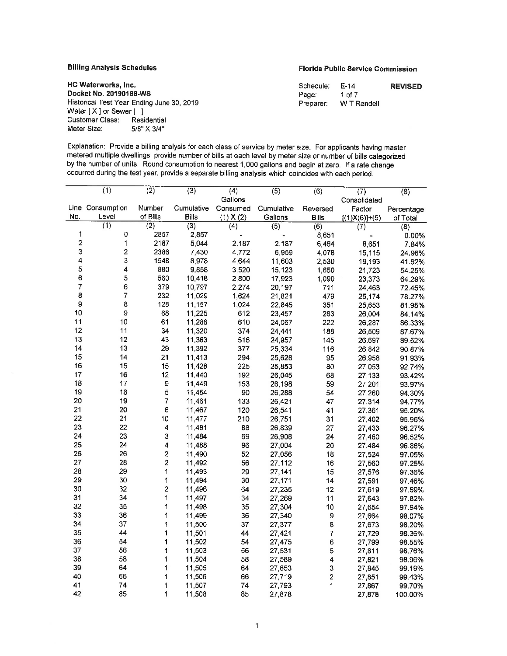# **Billing Analysis Schedules Analysis Schedules** Florida Public Service Commission

| HC Waterworks, Inc.                       | Schedule: E-14 |             | <b>REVISED</b> |
|-------------------------------------------|----------------|-------------|----------------|
| Docket No. 20190166-WS                    | Page:          | 1 of 7      |                |
| Historical Test Year Ending June 30, 2019 | Preparer:      | W T Rendell |                |

**Docket No. 20190166-WS** Historical Test Year Ending June 30, 2019 Preparer: WT Re Water [ X ] or Sewer [ ] Customer Class: Residential Meter Size: 5/8" X 3/4"

Explanation: Provide a billing analysis for each class of service by meter size. For applicants having master metered multiple dwellings, provide number of bills at each level by meter size or number of bills categorized by the number of units. Round consumption to nearest 1,000 gallons and begin at zero. If a rate change occurred during the test year, provide a separate billing analysis which coincides with each period.

|                         | $\overline{(1)}$ | $\overline{(2)}$         | $\overline{(3)}$ | $\overline{(4)}$ | (5)              | (6)                     | (7)             | $\overline{(8)}$ |
|-------------------------|------------------|--------------------------|------------------|------------------|------------------|-------------------------|-----------------|------------------|
|                         |                  |                          |                  | Gallons          |                  |                         | Consolidated    |                  |
|                         | Line Consumption | Number                   | Cumulative       | Consumed         | Cumulative       | Reversed                | Factor          | Percentage       |
| No.                     | Level            | of Bills                 | <b>Bills</b>     | $(1)$ X $(2)$    | Gallons          | <b>Bills</b>            | $[(1)X(6)]+(5)$ | of Total         |
|                         | (1)              | $\overline{(2)}$         | $\overline{(3)}$ | $\overline{(4)}$ | $\overline{(5)}$ | (6)                     | (7)             | (8)              |
| 1                       | 0                | 2857                     | 2,857            |                  |                  | 8,651                   |                 | 0.00%            |
| $\overline{\mathbf{2}}$ | 1                | 2187                     | 5,044            | 2,187            | 2,187            | 6,464                   | 8,651           | 7.84%            |
| 3                       | $\overline{c}$   | 2386                     | 7,430            | 4,772            | 6,959            | 4,078                   | 15,115          | 24.96%           |
| 4                       | 3                | 1548                     | 8,978            | 4,644            | 11,603           | 2,530                   | 19,193          | 41.62%           |
| 5                       | 4                | 880                      | 9,858            | 3,520            | 15.123           | 1,650                   | 21,723          | 54.25%           |
| 6                       | 5                | 560                      | 10,418           | 2,800            | 17,923           | 1,090                   | 23,373          | 64.29%           |
| 7                       | 6                | 379                      | 10,797           | 2,274            | 20,197           | 711                     | 24,463          | 72.45%           |
| 8                       | 7                | 232                      | 11,029           | 1,624            | 21,821           | 479                     | 25,174          | 78.27%           |
| 9                       | 8                | 128                      | 11,157           | 1,024            | 22,845           | 351                     | 25,653          | 81.95%           |
| 10                      | $\boldsymbol{9}$ | 68                       | 11,225           | 612              | 23,457           | 283                     | 26,004          | 84.14%           |
| 11                      | 10               | 61                       | 11,286           | 610              | 24,067           | 222                     | 26,287          | 86.33%           |
| 12                      | 11               | 34                       | 11,320           | 374              | 24,441           | 188                     | 26,509          | 87.67%           |
| 13                      | 12               | 43                       | 11,363           | 516              | 24,957           | 145                     | 26,697          | 89.52%           |
| 14                      | 13               | 29                       | 11,392           | 377              | 25,334           | 116                     | 26,842          | 90.87%           |
| 15                      | 14               | 21                       | 11,413           | 294              | 25,628           | 95                      | 26,958          | 91.93%           |
| 16                      | 15               | 15                       | 11,428           | 225              | 25,853           | 80                      | 27,053          | 92.74%           |
| 17                      | 16               | 12                       | 11,440           | 192              | 26,045           | 68                      | 27,133          | 93.42%           |
| 18                      | 17               | $\mathbf 9$              | 11,449           | 153              | 26,198           | 59                      | 27,201          | 93.97%           |
| 19                      | 18               | 5                        | 11,454           | 90               | 26,288           | 54                      | 27,260          | 94.30%           |
| 20                      | 19               | $\overline{\mathcal{I}}$ | 11,461           | 133              | 26,421           | 47                      | 27,314          | 94.77%           |
| 21                      | 20               | $\epsilon$               | 11,467           | 120              | 26,541           | 41                      | 27,361          | 95.20%           |
| 22                      | 21               | 10                       | 11.477           | 210              | 26,751           | 31                      | 27,402          | 95.96%           |
| 23                      | 22               | 4                        | 11,481           | 88               | 26,839           | 27                      | 27,433          | 96.27%           |
| 24                      | 23               | 3                        | 11,484           | 69               | 26,908           | 24                      | 27,460          | 96.52%           |
| 25                      | 24               | 4                        | 11,488           | 96               | 27,004           | 20                      | 27,484          | 96.86%           |
| 26                      | 26               | $\overline{2}$           | 11,490           | 52               | 27,056           | 18                      | 27,524          | 97.05%           |
| 27                      | 28               | $\overline{2}$           | 11,492           | 56               | 27,112           | 16                      | 27,560          | 97.25%           |
| 28                      | 29               | 1                        | 11,493           | 29               | 27,141           | 15                      | 27,576          | 97.36%           |
| 29                      | 30               | 1                        | 11,494           | 30               | 27,171           | 14                      | 27,591          | 97.46%           |
| 30                      | 32               | 2                        | 11,496           | 64               | 27,235           | 12                      | 27,619          | 97.69%           |
| 31                      | 34               | 1                        | 11,497           | 34               | 27,269           | 11                      | 27,643          | 97.82%           |
| 32                      | 35               | 1                        | 11,498           | 35               | 27,304           | 10                      | 27,654          | 97.94%           |
| 33                      | 36               | 1                        | 11.499           | 36               | 27,340           | $\mathbf 9$             | 27,664          | 98.07%           |
| 34                      | 37               | 1                        | 11,500           | 37               | 27,377           | 8                       | 27,673          | 98.20%           |
| 35                      | 44               | $\blacktriangleleft$     | 11,501           | 44               | 27,421           | $\overline{7}$          | 27,729          | 98.36%           |
| 36                      | 54               | 1                        | 11,502           | 54               | 27,475           | 6                       | 27,799          | 98.55%           |
| 37                      | 56               | 1                        | 11,503           | 56               | 27,531           | 5                       | 27,811          | 98.76%           |
| 38                      | 58               | 1                        | 11,504           | 58               | 27,589           | $\overline{\mathbf{4}}$ | 27,821          | 98.96%           |
| 39                      | 64               | 1                        | 11,505           | 64               | 27,653           | 3                       | 27,845          | 99.19%           |
| 40                      | 66               | 1                        | 11,506           | 66               | 27,719           | $\overline{\mathbf{c}}$ | 27,851          | 99.43%           |
| 41                      | 74               | 1                        | 11,507           | 74               | 27,793           | 1                       | 27,867          | 99.70%           |
| 42                      | 85               | 1                        | 11,508           | 85               | 27,878           |                         | 27.878          | 100.00%          |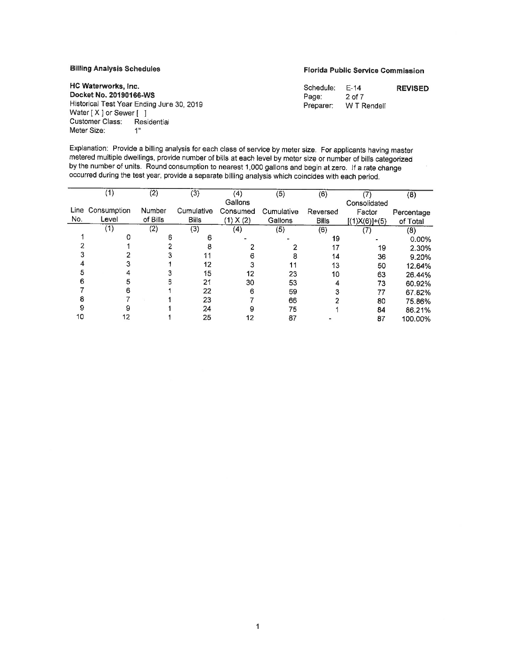### **Billing Analysis Schedules**

**HC Waterworks, Inc. Docket No. 20190166-WS** 

Water [ X ] or Sewer [ ] Customer Class: Residential

Meter Size: 1"

### **Florida Public Service Commission**

| HC Waterworks, Inc.                                                                                                          | Sch  |
|------------------------------------------------------------------------------------------------------------------------------|------|
| Docket No. 20190166-WS                                                                                                       | Pag  |
| Historical Test Year Ending June 30, 2019                                                                                    | Prer |
| Water [X ] or Sewer [ ]                                                                                                      |      |
| $\mathcal{O}$ . The set of $\mathcal{O}$ is the set of $\mathcal{O}$ is the set of $\mathcal{O}$ is the set of $\mathcal{O}$ |      |

Schedule: E-14  $e$ : Preparer: WT Rendell 2 of 7 **REVISED** 

Explanation: Provide a billing analysis for each class of service by meter size. For applicants having master metered multiple dwellings, provide number of bills at each level by meter size or number of bills categorized by the number of units. Round consumption to nearest 1,000 gallons and begin at zero. If a rate change occurred during the test year, provide a separate billing analysis which coincides with each period.

|      | $\overline{\mathcal{F}}$ | (2)      | (3)          | (4)           | $\overline{(5)}$ | (6)          | 7               | (8)        |
|------|--------------------------|----------|--------------|---------------|------------------|--------------|-----------------|------------|
|      |                          |          |              | Gallons       |                  |              | Consolidated    |            |
| Line | Consumption              | Number   | Cumulative   | Consumed      | Cumulative       | Reversed     | Factor          | Percentage |
| No.  | Level                    | of Bills | <b>Bills</b> | $(1)$ X $(2)$ | Gallons          | <b>Bills</b> | $[(1)X(6)]+(5)$ | of Total   |
|      | (1)                      | (2)      | (3)          | (4)           | (5)              | (6)          | (7)             | (8)        |
|      |                          | 6        | հ            |               |                  | 19           |                 | 0.00%      |
|      |                          |          |              |               |                  | 17           | 19              | 2.30%      |
|      |                          |          |              | 6             | 8                | 14           | 36              | 9.20%      |
|      |                          |          | 12           |               | 11               | 13           | 50              | 12.64%     |
|      |                          |          | 15           | 12            | 23               | 10           | 63              | 26.44%     |
|      |                          | 6        | 21           | 30            | 53               |              | 73              | 60.92%     |
|      | 6                        |          | 22           | 6             | 59               |              | 77              | 67.82%     |
|      |                          |          | 23           |               | 66               |              | 80              | 75.86%     |
| 9    | 9                        |          | 24           | 9             | 75               |              | 84              | 86.21%     |
| 10   | 12                       |          | 25           | 12            | 87               |              | 87              | 100.00%    |
|      |                          |          |              |               |                  |              |                 |            |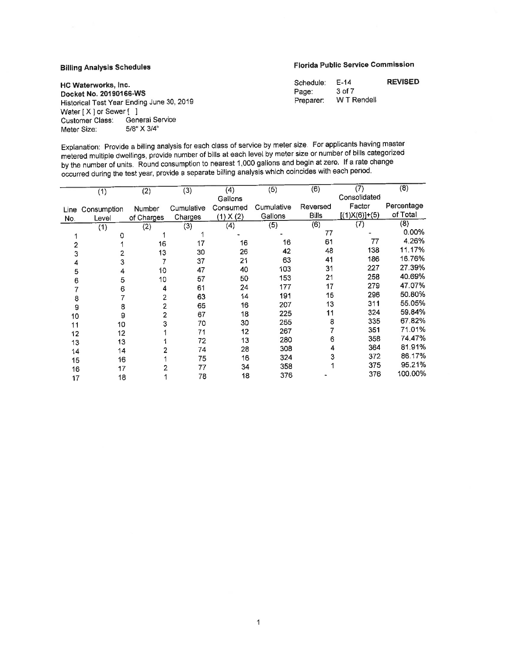# **Billing Analysis Schedules Florida Public Service Commission**

| Schedule: | F-14        | <b>REVISED</b> |
|-----------|-------------|----------------|
| Page:     | 3 of 7      |                |
| Preparer: | W T Rendell |                |

**HC Waterworks, Inc. Docket No. 20190166-WS** Historical Test Year Ending June 30, 2019 Preparer: WTF Water [ X ] or Sewer [ ] Customer Class: General Service<br>Meter Size: 5/8" X 3/4" Meter Size:

Explanation: Provide a billing analysis for each class of service by meter size. For applicants having master metered multiple dwellings, provide number of bills at each level by meter size or number of bills categorized by the number of units. Round consumption to nearest 1,000 gallons and begin at zero. If a rate change occurred during the test year, provide a separate billing analysis which coincides with each period.

| Consolidated<br>Gallons<br>Factor<br>Percentage<br>Cumulative<br>Reversed<br>Cumulative<br>Consumed<br><b>Number</b><br>Consumption<br>Line<br>of Total<br>$[(1)X(6)]+(5)$<br><b>Bills</b><br>Gallons<br>$(1)$ X $(2)$<br>Charges<br>of Charges<br>No.<br>Level<br>(8)<br>(7)<br>(6)<br>(5)<br>(4)<br>(3)<br>(2)<br>(1)<br>$0.00\%$<br>77<br>0<br>4.26%<br>77<br>61<br>16<br>16<br>17<br>16<br>$\overline{2}$<br>11.17%<br>138<br>48<br>42<br>26<br>30<br>13<br>3<br>16.76%<br>186<br>41<br>63<br>21<br>37<br>3<br>4<br>27.39%<br>227<br>31<br>103<br>40<br>47<br>10<br>5<br>4<br>40.69%<br>258<br>21<br>153<br>50<br>57<br>10<br>5<br>6<br>47.07%<br>279<br>17<br>177<br>24<br>61<br>6<br>4<br>50.80%<br>296<br>15<br>191<br>14<br>63<br>2<br>8<br>55.05%<br>311<br>13<br>207<br>16<br>65<br>2<br>8<br>9<br>59.84%<br>324<br>11<br>225<br>18<br>67<br>2<br>9<br>10<br>67.82%<br>335<br>8<br>255<br>30<br>70<br>3<br>10<br>11<br>71.01%<br>351<br>267<br>12<br>71<br>12<br>12<br>74.47%<br>358<br>6<br>280<br>13<br>72<br>13<br>13<br>81.91%<br>364<br>4<br>308<br>28<br>74<br>14<br>14 |     | (2) | (3) | (4) | (5) | (6) | (7) | (8) |
|-----------------------------------------------------------------------------------------------------------------------------------------------------------------------------------------------------------------------------------------------------------------------------------------------------------------------------------------------------------------------------------------------------------------------------------------------------------------------------------------------------------------------------------------------------------------------------------------------------------------------------------------------------------------------------------------------------------------------------------------------------------------------------------------------------------------------------------------------------------------------------------------------------------------------------------------------------------------------------------------------------------------------------------------------------------------------------------------|-----|-----|-----|-----|-----|-----|-----|-----|
|                                                                                                                                                                                                                                                                                                                                                                                                                                                                                                                                                                                                                                                                                                                                                                                                                                                                                                                                                                                                                                                                                         | (1) |     |     |     |     |     |     |     |
|                                                                                                                                                                                                                                                                                                                                                                                                                                                                                                                                                                                                                                                                                                                                                                                                                                                                                                                                                                                                                                                                                         |     |     |     |     |     |     |     |     |
|                                                                                                                                                                                                                                                                                                                                                                                                                                                                                                                                                                                                                                                                                                                                                                                                                                                                                                                                                                                                                                                                                         |     |     |     |     |     |     |     |     |
|                                                                                                                                                                                                                                                                                                                                                                                                                                                                                                                                                                                                                                                                                                                                                                                                                                                                                                                                                                                                                                                                                         |     |     |     |     |     |     |     |     |
|                                                                                                                                                                                                                                                                                                                                                                                                                                                                                                                                                                                                                                                                                                                                                                                                                                                                                                                                                                                                                                                                                         |     |     |     |     |     |     |     |     |
|                                                                                                                                                                                                                                                                                                                                                                                                                                                                                                                                                                                                                                                                                                                                                                                                                                                                                                                                                                                                                                                                                         |     |     |     |     |     |     |     |     |
|                                                                                                                                                                                                                                                                                                                                                                                                                                                                                                                                                                                                                                                                                                                                                                                                                                                                                                                                                                                                                                                                                         |     |     |     |     |     |     |     |     |
|                                                                                                                                                                                                                                                                                                                                                                                                                                                                                                                                                                                                                                                                                                                                                                                                                                                                                                                                                                                                                                                                                         |     |     |     |     |     |     |     |     |
|                                                                                                                                                                                                                                                                                                                                                                                                                                                                                                                                                                                                                                                                                                                                                                                                                                                                                                                                                                                                                                                                                         |     |     |     |     |     |     |     |     |
|                                                                                                                                                                                                                                                                                                                                                                                                                                                                                                                                                                                                                                                                                                                                                                                                                                                                                                                                                                                                                                                                                         |     |     |     |     |     |     |     |     |
|                                                                                                                                                                                                                                                                                                                                                                                                                                                                                                                                                                                                                                                                                                                                                                                                                                                                                                                                                                                                                                                                                         |     |     |     |     |     |     |     |     |
|                                                                                                                                                                                                                                                                                                                                                                                                                                                                                                                                                                                                                                                                                                                                                                                                                                                                                                                                                                                                                                                                                         |     |     |     |     |     |     |     |     |
|                                                                                                                                                                                                                                                                                                                                                                                                                                                                                                                                                                                                                                                                                                                                                                                                                                                                                                                                                                                                                                                                                         |     |     |     |     |     |     |     |     |
|                                                                                                                                                                                                                                                                                                                                                                                                                                                                                                                                                                                                                                                                                                                                                                                                                                                                                                                                                                                                                                                                                         |     |     |     |     |     |     |     |     |
|                                                                                                                                                                                                                                                                                                                                                                                                                                                                                                                                                                                                                                                                                                                                                                                                                                                                                                                                                                                                                                                                                         |     |     |     |     |     |     |     |     |
|                                                                                                                                                                                                                                                                                                                                                                                                                                                                                                                                                                                                                                                                                                                                                                                                                                                                                                                                                                                                                                                                                         |     |     |     |     |     |     |     |     |
|                                                                                                                                                                                                                                                                                                                                                                                                                                                                                                                                                                                                                                                                                                                                                                                                                                                                                                                                                                                                                                                                                         |     |     |     |     |     |     |     |     |
|                                                                                                                                                                                                                                                                                                                                                                                                                                                                                                                                                                                                                                                                                                                                                                                                                                                                                                                                                                                                                                                                                         |     |     |     |     |     |     |     |     |
| 86.17%<br>372<br>3<br>324<br>16<br>75<br>16                                                                                                                                                                                                                                                                                                                                                                                                                                                                                                                                                                                                                                                                                                                                                                                                                                                                                                                                                                                                                                             |     |     |     |     |     |     |     |     |
| 15<br>95.21%<br>375<br>358<br>34<br>77<br>17                                                                                                                                                                                                                                                                                                                                                                                                                                                                                                                                                                                                                                                                                                                                                                                                                                                                                                                                                                                                                                            |     |     |     |     |     |     |     |     |
| 16<br>100.00%<br>376<br>376<br>18<br>78<br>18<br>17                                                                                                                                                                                                                                                                                                                                                                                                                                                                                                                                                                                                                                                                                                                                                                                                                                                                                                                                                                                                                                     |     |     |     |     |     |     |     |     |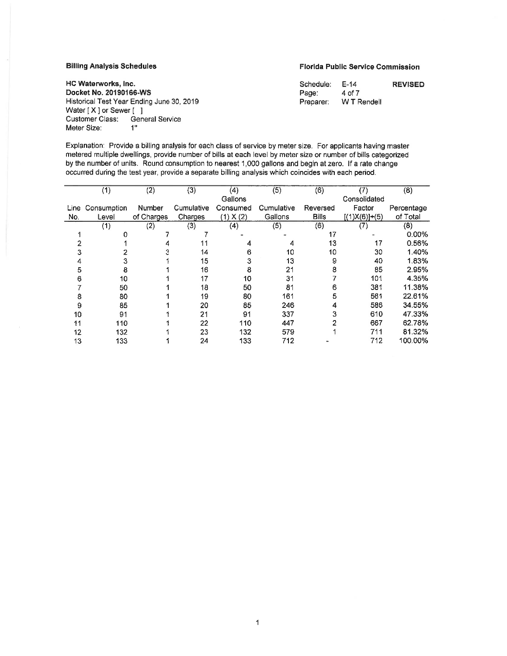#### **Billing Analysis Schedules**

**Florida Public Service Commission** 

| Schedule: | E-14        | <b>REVISED</b> |
|-----------|-------------|----------------|
| Page:     | 4 of 7      |                |
| Preparer: | W T Rendell |                |

**HC Waterworks, Inc. Docket No. 20190166-WS**  Historical Test Year Ending June 30, 2019 Water [ X ] or Sewer [ ] Customer Class: General Service Meter Size: **1"** 

Explanation: Provide a billing analysis for each class of service by meter size. For applicants having master metered multiple dwellings, provide number of bills at each level by meter size or number of bills categorized by the number of units. Round consumption to nearest 1,000 gallons and begin at zero. If a rate change occurred during the test year, provide a separate billing analysis which coincides with each period.

|      | (1)         | (2)        | (3)        | (4)       | (5)        | (6)          | (7)             | (8)        |
|------|-------------|------------|------------|-----------|------------|--------------|-----------------|------------|
|      |             |            |            | Gallons   |            |              | Consolidated    |            |
| Line | Consumption | Number     | Cumulative | Consumed  | Cumulative | Reversed     | Factor          | Percentage |
| No.  | Level       | of Charges | Charges    | (1) X (2) | Gallons    | <b>Bills</b> | $[(1)X(6)]+(5)$ | of Total   |
|      | (1)         | (2)        | (3)        | (4)       | (5)        | (6)          | (7)             | (8)        |
|      |             |            |            |           |            | 17           |                 | 0.00%      |
|      |             |            |            |           |            | 13           | 17              | 0.56%      |
|      |             |            | 14         | 6         | 10         | 10           | 30              | 1.40%      |
|      | 3           |            | 15         | 3         | 13         | 9            | 40              | 1.83%      |
| 5    | 8           |            | 16         | 8         | 21         | 8            | 85              | 2.95%      |
| в    | 10          |            | 17         | 10        | 31         |              | 101             | 4.35%      |
|      | 50          |            | 18         | 50        | 81         | 6            | 381             | 11.38%     |
| 8    | 80          |            | 19         | 80        | 161        | 5            | 561             | 22.61%     |
| 9    | 85          |            | 20         | 85        | 246        |              | 586             | 34.55%     |
| 10   | 91          |            | 21         | 91        | 337        | 3            | 610             | 47.33%     |
| 11   | 110         |            | 22         | 110       | 447        |              | 667             | 62.78%     |
| 12   | 132         |            | 23         | 132       | 579        |              | 711             | 81.32%     |
| 13   | 133         |            | 24         | 133       | 712        |              | 712             | 100.00%    |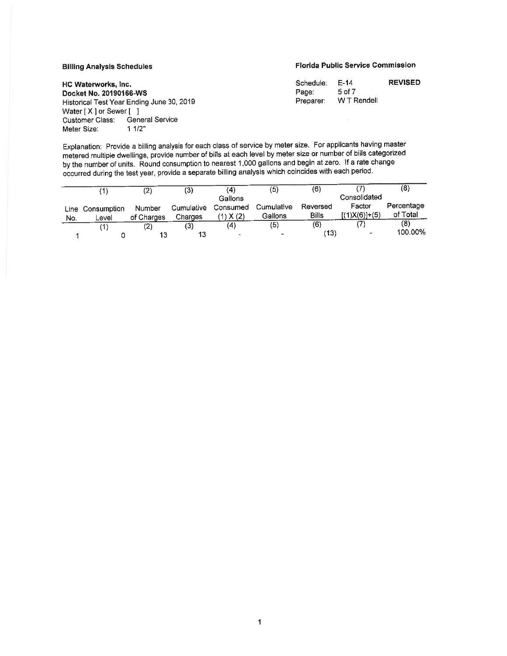#### **BIiiing Analysis Schedules**

### **Florida Public Service Commission**

| Schedule: | $F-14$      | <b>REVISED</b> |
|-----------|-------------|----------------|
| Page:     | 5 of 7      |                |
| Preparer: | W T Rendell |                |

HC **Waterworks,** Inc. **Docket No. 20190166-WS**  Historical Test Year Ending June 30, 2019 Water [ X ] or Sewer [ ]<br>Customer Class: Gene General Service<br>1 1/2" Meter Size:

Explanation: Provide a billing analysis for each class of service by meter size. For applicants having master metered multiple dwellings, provide number of bills at each level by meter size or number of bills categorized by the number of units. Round consumption to nearest 1,000 gallons and begin at zero. If a rate change occurred during the test year, provide a separate billing analysis which coincides with each period.

|     |                  | (2)        | (3)        | (4)                      | (5)        | (6)          |                 | $\left(8\right)$ |
|-----|------------------|------------|------------|--------------------------|------------|--------------|-----------------|------------------|
|     |                  |            |            | Gallons                  |            |              | Consolidated    |                  |
|     | Line Consumption | Number     | Cumulative | Consumed                 | Cumulative | Reversed     | Factor          | Percentage       |
| No. | Level            | of Charges | Charges    | $\chi(2)$                | Gallons    | <b>Bills</b> | $[(1)X(6)]+(5)$ | of Total         |
|     | ้1               | (2)        | (3)        | (4)                      | (5)        | (6)          |                 | (8)              |
|     |                  | 40         | 13         | $\overline{\phantom{a}}$ | $\sim$     | (13)         |                 | 100.00%          |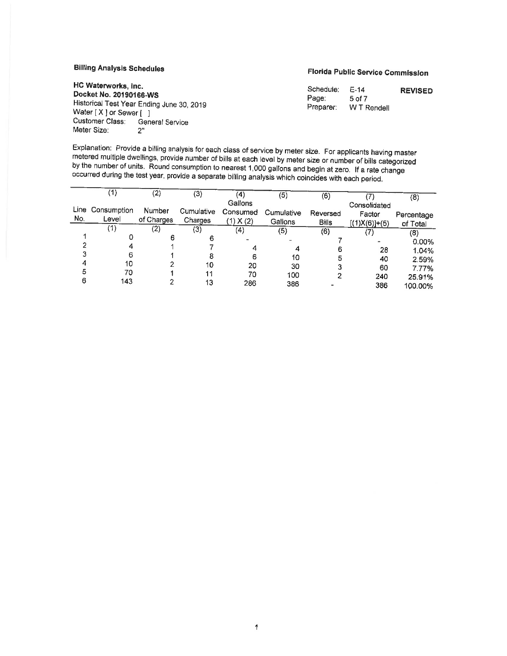# **Billing Analysis Schedules**

#### **HC Waterworks, Inc. Docket No. 20190166-WS**  Historical Test Year Ending June <sup>30</sup>, <sup>2019</sup> Water [ X ] or Sewer [ ] Customer Class: General Service Meter Size: 2"

# **Florida Public Service Commission**

| Schedule: | E-14        | <b>REVISED</b> |
|-----------|-------------|----------------|
| Page:     | 5 of 7      |                |
| Preparer: | W T Rendell |                |

Explanation: Provide a billing analysis for each class of service by meter size. For applicants having master<br>metered multiple dwellings, provide number of bills at each level by meter size or number of bills categorized<br>b

|     | (1)              | (2)        | (3)        | $\scriptstyle{(4)}$ | (5)        | (6)          |                 | (8)        |
|-----|------------------|------------|------------|---------------------|------------|--------------|-----------------|------------|
|     |                  |            |            | Gallons             |            |              | Consolidated    |            |
|     | Line Consumption | Number     | Cumulative | Consumed            | Cumulative | Reversed     | Factor          | Percentage |
| No. | Level            | of Charges | Charges    | (1) X (2)           | Gallons    | <b>Bills</b> | $[(1)X(6)]+(5)$ | of Total   |
|     | (1)              | (2)        | (3)        | (4)                 | (5)        | (6)          |                 |            |
|     | 0                | 6          |            |                     |            |              |                 | (8)        |
|     |                  |            |            |                     |            |              |                 | 0.00%      |
|     |                  |            |            |                     |            | 6            | 28              | 1.04%      |
|     | 6                |            |            | 6                   |            |              |                 |            |
|     |                  |            |            |                     | 10         |              | 40              | 2.59%      |
|     | 10               |            | 10         | 20                  | 30         |              | 60              | 7.77%      |
|     | 70               |            | 11         | 70                  | 100        |              |                 |            |
| 6   | 143              |            |            |                     |            |              | 240             | 25.91%     |
|     |                  |            | 13         | 286                 | 386        |              | 386             | 100.00%    |